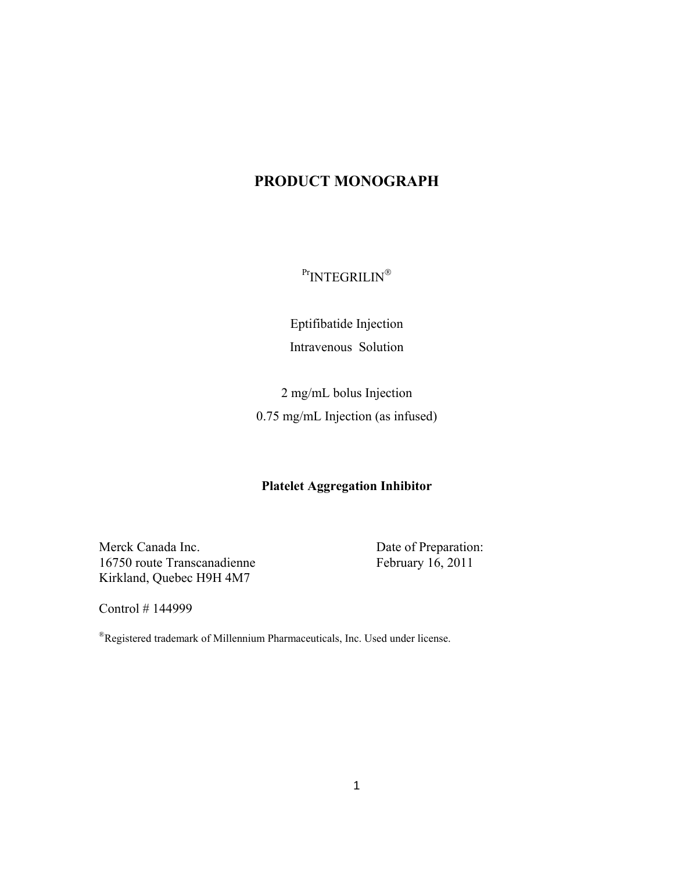# **PRODUCT MONOGRAPH**

Pr<sub>INTEGRILIN®</sub>

Eptifibatide Injection Intravenous Solution

2 mg/mL bolus Injection 0.75 mg/mL Injection (as infused)

### **Platelet Aggregation Inhibitor**

Merck Canada Inc. Date of Preparation: 16750 route Transcanadienne February 16, 2011 Kirkland, Quebec H9H 4M7

Control # 144999

®Registered trademark of Millennium Pharmaceuticals, Inc. Used under license.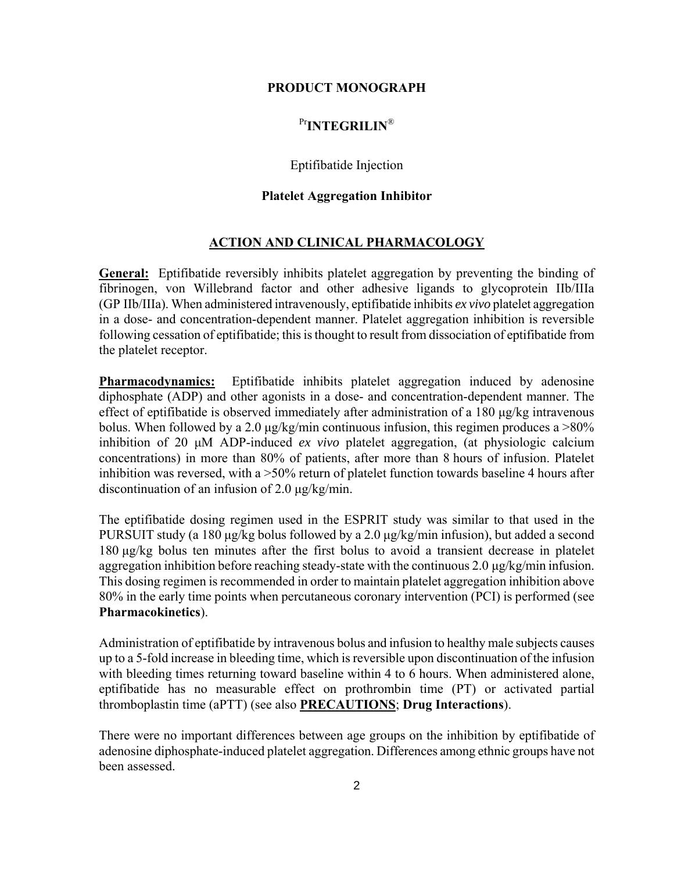### **PRODUCT MONOGRAPH**

# Pr**INTEGRILIN**®

### Eptifibatide Injection

### **Platelet Aggregation Inhibitor**

### **ACTION AND CLINICAL PHARMACOLOGY**

**General:** Eptifibatide reversibly inhibits platelet aggregation by preventing the binding of fibrinogen, von Willebrand factor and other adhesive ligands to glycoprotein IIb/IIIa (GP IIb/IIIa). When administered intravenously, eptifibatide inhibits *ex vivo* platelet aggregation in a dose- and concentration-dependent manner. Platelet aggregation inhibition is reversible following cessation of eptifibatide; this is thought to result from dissociation of eptifibatide from the platelet receptor.

**Pharmacodynamics:** Eptifibatide inhibits platelet aggregation induced by adenosine diphosphate (ADP) and other agonists in a dose- and concentration-dependent manner. The effect of eptifibatide is observed immediately after administration of a 180 μg/kg intravenous bolus. When followed by a 2.0 μg/kg/min continuous infusion, this regimen produces a >80% inhibition of 20 μM ADP-induced *ex vivo* platelet aggregation, (at physiologic calcium concentrations) in more than 80% of patients, after more than 8 hours of infusion. Platelet inhibition was reversed, with a >50% return of platelet function towards baseline 4 hours after discontinuation of an infusion of 2.0 μg/kg/min.

The eptifibatide dosing regimen used in the ESPRIT study was similar to that used in the PURSUIT study (a 180 μg/kg bolus followed by a 2.0 μg/kg/min infusion), but added a second 180 μg/kg bolus ten minutes after the first bolus to avoid a transient decrease in platelet aggregation inhibition before reaching steady-state with the continuous 2.0 μg/kg/min infusion. This dosing regimen is recommended in order to maintain platelet aggregation inhibition above 80% in the early time points when percutaneous coronary intervention (PCI) is performed (see **Pharmacokinetics**).

Administration of eptifibatide by intravenous bolus and infusion to healthy male subjects causes up to a 5-fold increase in bleeding time, which is reversible upon discontinuation of the infusion with bleeding times returning toward baseline within 4 to 6 hours. When administered alone, eptifibatide has no measurable effect on prothrombin time (PT) or activated partial thromboplastin time (aPTT) (see also **PRECAUTIONS**; **Drug Interactions**).

There were no important differences between age groups on the inhibition by eptifibatide of adenosine diphosphate-induced platelet aggregation. Differences among ethnic groups have not been assessed.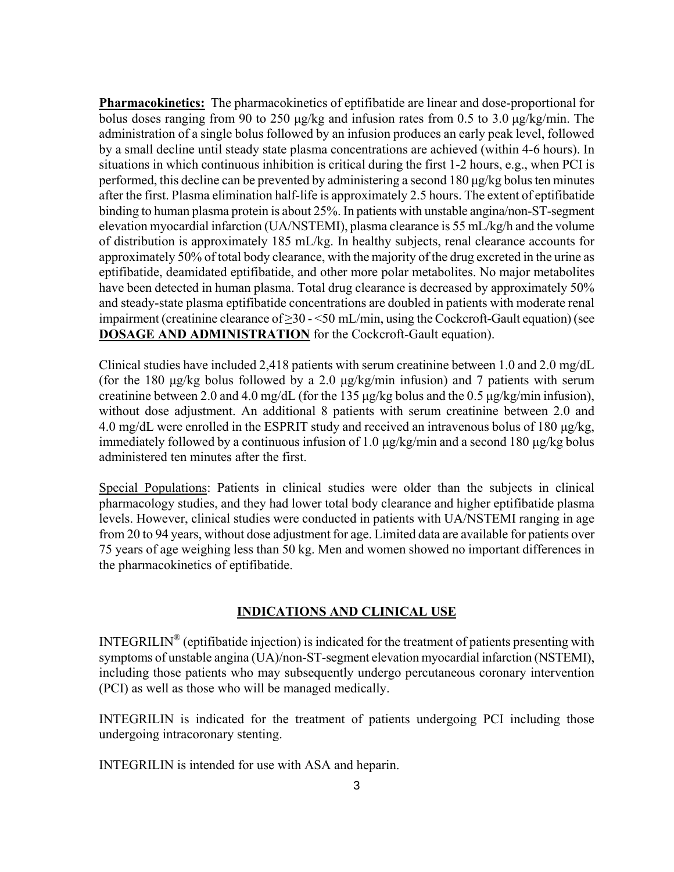**Pharmacokinetics:** The pharmacokinetics of eptifibatide are linear and dose-proportional for bolus doses ranging from 90 to 250 μg/kg and infusion rates from 0.5 to 3.0 μg/kg/min. The administration of a single bolus followed by an infusion produces an early peak level, followed by a small decline until steady state plasma concentrations are achieved (within 4-6 hours). In situations in which continuous inhibition is critical during the first 1-2 hours, e.g., when PCI is performed, this decline can be prevented by administering a second 180 μg/kg bolus ten minutes after the first. Plasma elimination half-life is approximately 2.5 hours. The extent of eptifibatide binding to human plasma protein is about 25%. In patients with unstable angina/non-ST-segment elevation myocardial infarction (UA/NSTEMI), plasma clearance is 55 mL/kg/h and the volume of distribution is approximately 185 mL/kg. In healthy subjects, renal clearance accounts for approximately 50% of total body clearance, with the majority of the drug excreted in the urine as eptifibatide, deamidated eptifibatide, and other more polar metabolites. No major metabolites have been detected in human plasma. Total drug clearance is decreased by approximately 50% and steady-state plasma eptifibatide concentrations are doubled in patients with moderate renal impairment (creatinine clearance of  $\geq$ 30 - <50 mL/min, using the Cockcroft-Gault equation) (see **DOSAGE AND ADMINISTRATION** for the Cockcroft-Gault equation).

Clinical studies have included 2,418 patients with serum creatinine between 1.0 and 2.0 mg/dL (for the 180 μg/kg bolus followed by a 2.0 μg/kg/min infusion) and 7 patients with serum creatinine between 2.0 and 4.0 mg/dL (for the 135 μg/kg bolus and the 0.5 μg/kg/min infusion), without dose adjustment. An additional 8 patients with serum creatinine between 2.0 and 4.0 mg/dL were enrolled in the ESPRIT study and received an intravenous bolus of 180 μg/kg, immediately followed by a continuous infusion of 1.0 μg/kg/min and a second 180 μg/kg bolus administered ten minutes after the first.

Special Populations: Patients in clinical studies were older than the subjects in clinical pharmacology studies, and they had lower total body clearance and higher eptifibatide plasma levels. However, clinical studies were conducted in patients with UA/NSTEMI ranging in age from 20 to 94 years, without dose adjustment for age. Limited data are available for patients over 75 years of age weighing less than 50 kg. Men and women showed no important differences in the pharmacokinetics of eptifibatide.

### **INDICATIONS AND CLINICAL USE**

INTEGRILIN® (eptifibatide injection) is indicated for the treatment of patients presenting with symptoms of unstable angina (UA)/non-ST-segment elevation myocardial infarction (NSTEMI), including those patients who may subsequently undergo percutaneous coronary intervention (PCI) as well as those who will be managed medically.

INTEGRILIN is indicated for the treatment of patients undergoing PCI including those undergoing intracoronary stenting.

INTEGRILIN is intended for use with ASA and heparin.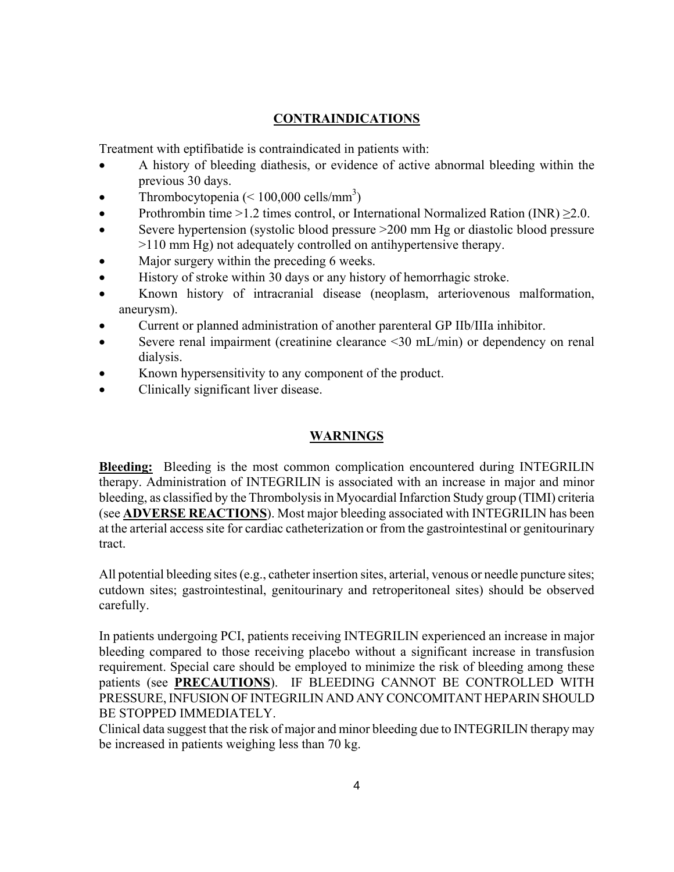# **CONTRAINDICATIONS**

Treatment with eptifibatide is contraindicated in patients with:

- A history of bleeding diathesis, or evidence of active abnormal bleeding within the previous 30 days.
- Thrombocytopenia  $(< 100,000 \text{ cells/mm}^3$ )
- Prothrombin time >1.2 times control, or International Normalized Ration (INR)  $\geq$ 2.0.
- Severe hypertension (systolic blood pressure >200 mm Hg or diastolic blood pressure >110 mm Hg) not adequately controlled on antihypertensive therapy.
- Major surgery within the preceding 6 weeks.
- History of stroke within 30 days or any history of hemorrhagic stroke.
- Known history of intracranial disease (neoplasm, arteriovenous malformation, aneurysm).
- Current or planned administration of another parenteral GP IIb/IIIa inhibitor.
- Severe renal impairment (creatinine clearance <30 mL/min) or dependency on renal dialysis.
- Known hypersensitivity to any component of the product.
- Clinically significant liver disease.

# **WARNINGS**

**Bleeding:** Bleeding is the most common complication encountered during INTEGRILIN therapy. Administration of INTEGRILIN is associated with an increase in major and minor bleeding, as classified by the Thrombolysis in Myocardial Infarction Study group (TIMI) criteria (see **ADVERSE REACTIONS**). Most major bleeding associated with INTEGRILIN has been at the arterial access site for cardiac catheterization or from the gastrointestinal or genitourinary tract.

All potential bleeding sites (e.g., catheter insertion sites, arterial, venous or needle puncture sites; cutdown sites; gastrointestinal, genitourinary and retroperitoneal sites) should be observed carefully.

In patients undergoing PCI, patients receiving INTEGRILIN experienced an increase in major bleeding compared to those receiving placebo without a significant increase in transfusion requirement. Special care should be employed to minimize the risk of bleeding among these patients (see **PRECAUTIONS**). IF BLEEDING CANNOT BE CONTROLLED WITH PRESSURE, INFUSION OF INTEGRILIN AND ANY CONCOMITANT HEPARIN SHOULD BE STOPPED IMMEDIATELY.

Clinical data suggest that the risk of major and minor bleeding due to INTEGRILIN therapy may be increased in patients weighing less than 70 kg.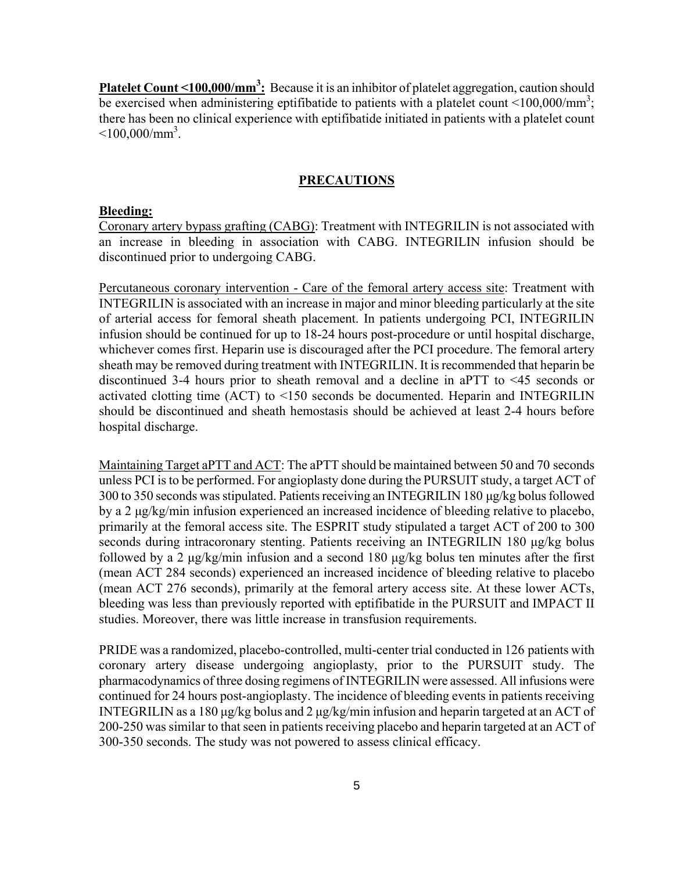**Platelet Count <100,000/mm<sup>3</sup>:** Because it is an inhibitor of platelet aggregation, caution should be exercised when administering eptifibatide to patients with a platelet count <100,000/mm<sup>3</sup>; there has been no clinical experience with eptifibatide initiated in patients with a platelet count  $\leq 100,000/\text{mm}^3$ .

#### **PRECAUTIONS**

#### **Bleeding:**

Coronary artery bypass grafting (CABG): Treatment with INTEGRILIN is not associated with an increase in bleeding in association with CABG. INTEGRILIN infusion should be discontinued prior to undergoing CABG.

Percutaneous coronary intervention - Care of the femoral artery access site: Treatment with INTEGRILIN is associated with an increase in major and minor bleeding particularly at the site of arterial access for femoral sheath placement. In patients undergoing PCI, INTEGRILIN infusion should be continued for up to 18-24 hours post-procedure or until hospital discharge, whichever comes first. Heparin use is discouraged after the PCI procedure. The femoral artery sheath may be removed during treatment with INTEGRILIN. It is recommended that heparin be discontinued 3-4 hours prior to sheath removal and a decline in aPTT to <45 seconds or activated clotting time (ACT) to <150 seconds be documented. Heparin and INTEGRILIN should be discontinued and sheath hemostasis should be achieved at least 2-4 hours before hospital discharge.

Maintaining Target aPTT and ACT: The aPTT should be maintained between 50 and 70 seconds unless PCI is to be performed. For angioplasty done during the PURSUIT study, a target ACT of 300 to 350 seconds was stipulated. Patients receiving an INTEGRILIN 180 μg/kg bolus followed by a 2 μg/kg/min infusion experienced an increased incidence of bleeding relative to placebo, primarily at the femoral access site. The ESPRIT study stipulated a target ACT of 200 to 300 seconds during intracoronary stenting. Patients receiving an INTEGRILIN 180 μg/kg bolus followed by a 2 μg/kg/min infusion and a second 180 μg/kg bolus ten minutes after the first (mean ACT 284 seconds) experienced an increased incidence of bleeding relative to placebo (mean ACT 276 seconds), primarily at the femoral artery access site. At these lower ACTs, bleeding was less than previously reported with eptifibatide in the PURSUIT and IMPACT II studies. Moreover, there was little increase in transfusion requirements.

PRIDE was a randomized, placebo-controlled, multi-center trial conducted in 126 patients with coronary artery disease undergoing angioplasty, prior to the PURSUIT study. The pharmacodynamics of three dosing regimens of INTEGRILIN were assessed. All infusions were continued for 24 hours post-angioplasty. The incidence of bleeding events in patients receiving INTEGRILIN as a 180 μg/kg bolus and 2 μg/kg/min infusion and heparin targeted at an ACT of 200-250 was similar to that seen in patients receiving placebo and heparin targeted at an ACT of 300-350 seconds. The study was not powered to assess clinical efficacy.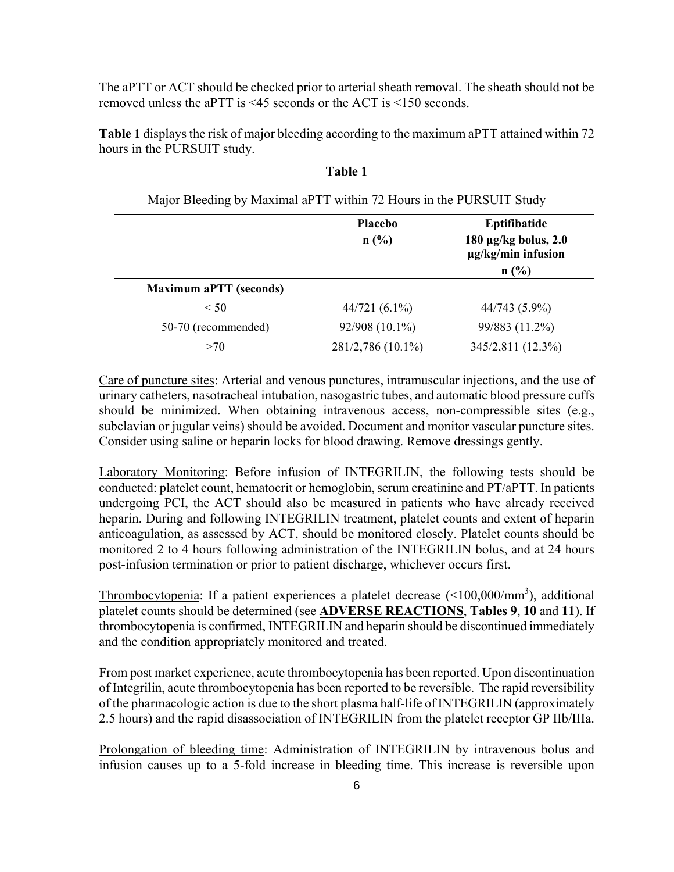The aPTT or ACT should be checked prior to arterial sheath removal. The sheath should not be removed unless the aPTT is <45 seconds or the ACT is <150 seconds.

**Table 1** displays the risk of major bleeding according to the maximum aPTT attained within 72 hours in the PURSUIT study.

| Major Bleeding by Maximal aPTT within 72 Hours in the PURSUIT Study |                        |                                                                                |
|---------------------------------------------------------------------|------------------------|--------------------------------------------------------------------------------|
|                                                                     | <b>Placebo</b><br>n(%) | Eptifibatide<br>$180 \mu g/kg$ bolus, $2.0$<br>$\mu$ g/kg/min infusion<br>n(%) |
| <b>Maximum aPTT (seconds)</b>                                       |                        |                                                                                |
| $\leq 50$                                                           | $44/721(6.1\%)$        | 44/743 (5.9%)                                                                  |
| 50-70 (recommended)                                                 | 92/908 (10.1%)         | 99/883 (11.2%)                                                                 |
| >70                                                                 | 281/2,786 (10.1%)      | 345/2,811 (12.3%)                                                              |

### **Table 1**

Care of puncture sites: Arterial and venous punctures, intramuscular injections, and the use of urinary catheters, nasotracheal intubation, nasogastric tubes, and automatic blood pressure cuffs should be minimized. When obtaining intravenous access, non-compressible sites (e.g., subclavian or jugular veins) should be avoided. Document and monitor vascular puncture sites. Consider using saline or heparin locks for blood drawing. Remove dressings gently.

Laboratory Monitoring: Before infusion of INTEGRILIN, the following tests should be conducted: platelet count, hematocrit or hemoglobin, serum creatinine and PT/aPTT. In patients undergoing PCI, the ACT should also be measured in patients who have already received heparin. During and following INTEGRILIN treatment, platelet counts and extent of heparin anticoagulation, as assessed by ACT, should be monitored closely. Platelet counts should be monitored 2 to 4 hours following administration of the INTEGRILIN bolus, and at 24 hours post-infusion termination or prior to patient discharge, whichever occurs first.

Thrombocytopenia: If a patient experiences a platelet decrease  $(<100,000/\text{mm}^3)$ , additional platelet counts should be determined (see **ADVERSE REACTIONS**, **Tables 9**, **10** and **11**). If thrombocytopenia is confirmed, INTEGRILIN and heparin should be discontinued immediately and the condition appropriately monitored and treated.

From post market experience, acute thrombocytopenia has been reported. Upon discontinuation of Integrilin, acute thrombocytopenia has been reported to be reversible. The rapid reversibility of the pharmacologic action is due to the short plasma half-life of INTEGRILIN (approximately 2.5 hours) and the rapid disassociation of INTEGRILIN from the platelet receptor GP IIb/IIIa.

Prolongation of bleeding time: Administration of INTEGRILIN by intravenous bolus and infusion causes up to a 5-fold increase in bleeding time. This increase is reversible upon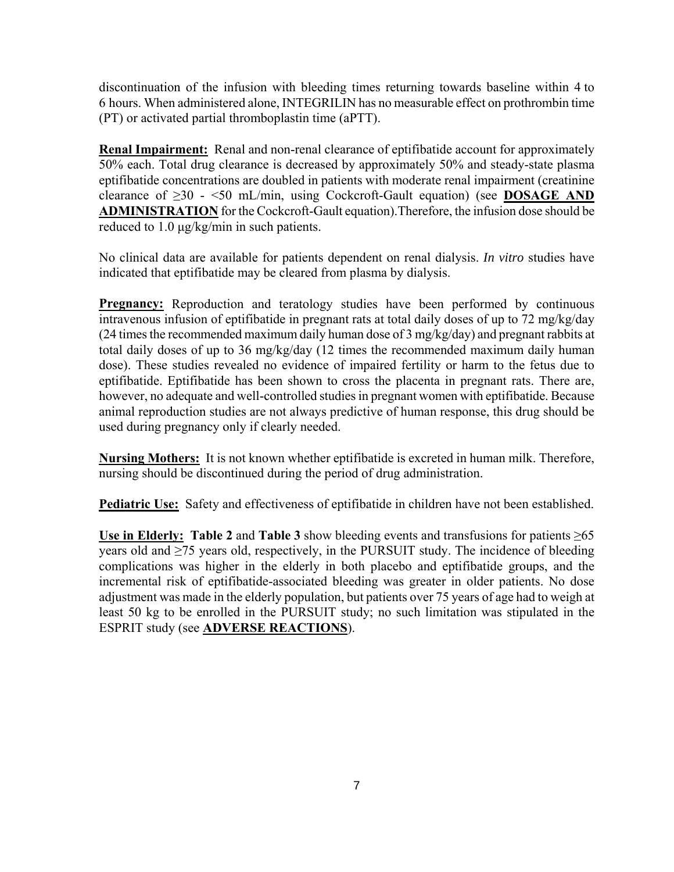discontinuation of the infusion with bleeding times returning towards baseline within 4 to 6 hours. When administered alone, INTEGRILIN has no measurable effect on prothrombin time (PT) or activated partial thromboplastin time (aPTT).

**Renal Impairment:** Renal and non-renal clearance of eptifibatide account for approximately 50% each. Total drug clearance is decreased by approximately 50% and steady-state plasma eptifibatide concentrations are doubled in patients with moderate renal impairment (creatinine clearance of ≥30 - <50 mL/min, using Cockcroft-Gault equation) (see **DOSAGE AND ADMINISTRATION** for the Cockcroft-Gault equation).Therefore, the infusion dose should be reduced to 1.0 μg/kg/min in such patients.

No clinical data are available for patients dependent on renal dialysis. *In vitro* studies have indicated that eptifibatide may be cleared from plasma by dialysis.

**Pregnancy:** Reproduction and teratology studies have been performed by continuous intravenous infusion of eptifibatide in pregnant rats at total daily doses of up to 72 mg/kg/day (24 times the recommended maximum daily human dose of 3 mg/kg/day) and pregnant rabbits at total daily doses of up to 36 mg/kg/day (12 times the recommended maximum daily human dose). These studies revealed no evidence of impaired fertility or harm to the fetus due to eptifibatide. Eptifibatide has been shown to cross the placenta in pregnant rats. There are, however, no adequate and well-controlled studies in pregnant women with eptifibatide. Because animal reproduction studies are not always predictive of human response, this drug should be used during pregnancy only if clearly needed.

**Nursing Mothers:** It is not known whether eptifibatide is excreted in human milk. Therefore, nursing should be discontinued during the period of drug administration.

**Pediatric Use:** Safety and effectiveness of eptifibatide in children have not been established.

Use in Elderly: Table 2 and Table 3 show bleeding events and transfusions for patients  $\geq 65$ years old and ≥75 years old, respectively, in the PURSUIT study. The incidence of bleeding complications was higher in the elderly in both placebo and eptifibatide groups, and the incremental risk of eptifibatide-associated bleeding was greater in older patients. No dose adjustment was made in the elderly population, but patients over 75 years of age had to weigh at least 50 kg to be enrolled in the PURSUIT study; no such limitation was stipulated in the ESPRIT study (see **ADVERSE REACTIONS**).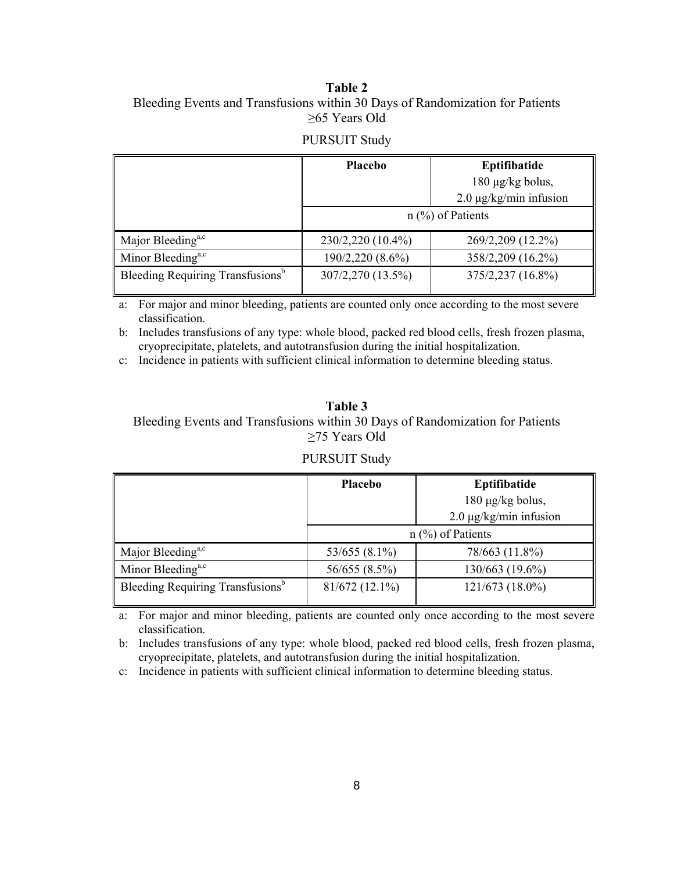### **Table 2**  Bleeding Events and Transfusions within 30 Days of Randomization for Patients ≥65 Years Old

#### PURSUIT Study

|                                              | <b>Placebo</b>      | Eptifibatide                |  |
|----------------------------------------------|---------------------|-----------------------------|--|
|                                              |                     | 180 µg/kg bolus,            |  |
|                                              |                     | $2.0 \mu g/kg/min$ infusion |  |
|                                              | $n$ (%) of Patients |                             |  |
| Major Bleeding <sup>a,c</sup>                | 230/2,220 (10.4%)   | 269/2,209 (12.2%)           |  |
| Minor Bleeding <sup>a,c</sup>                | 190/2,220 (8.6%)    | 358/2,209 (16.2%)           |  |
| Bleeding Requiring Transfusions <sup>b</sup> | 307/2,270 (13.5%)   | 375/2,237 (16.8%)           |  |

a: For major and minor bleeding, patients are counted only once according to the most severe classification.

b: Includes transfusions of any type: whole blood, packed red blood cells, fresh frozen plasma, cryoprecipitate, platelets, and autotransfusion during the initial hospitalization.

c: Incidence in patients with sufficient clinical information to determine bleeding status.

**Table 3**  Bleeding Events and Transfusions within 30 Days of Randomization for Patients ≥75 Years Old

#### PURSUIT Study

|                                              | Placebo             | Eptifibatide                |
|----------------------------------------------|---------------------|-----------------------------|
|                                              |                     | $180 \mu g/kg$ bolus,       |
|                                              |                     | $2.0 \mu g/kg/min$ infusion |
|                                              | $n$ (%) of Patients |                             |
| Major Bleeding <sup>a,c</sup>                | $53/655(8.1\%)$     | 78/663 (11.8%)              |
| Minor Bleeding <sup>a,c</sup>                | 56/655 (8.5%)       | 130/663 (19.6%)             |
| Bleeding Requiring Transfusions <sup>b</sup> | $81/672(12.1\%)$    | 121/673 (18.0%)             |

a: For major and minor bleeding, patients are counted only once according to the most severe classification.

b: Includes transfusions of any type: whole blood, packed red blood cells, fresh frozen plasma, cryoprecipitate, platelets, and autotransfusion during the initial hospitalization.

c: Incidence in patients with sufficient clinical information to determine bleeding status.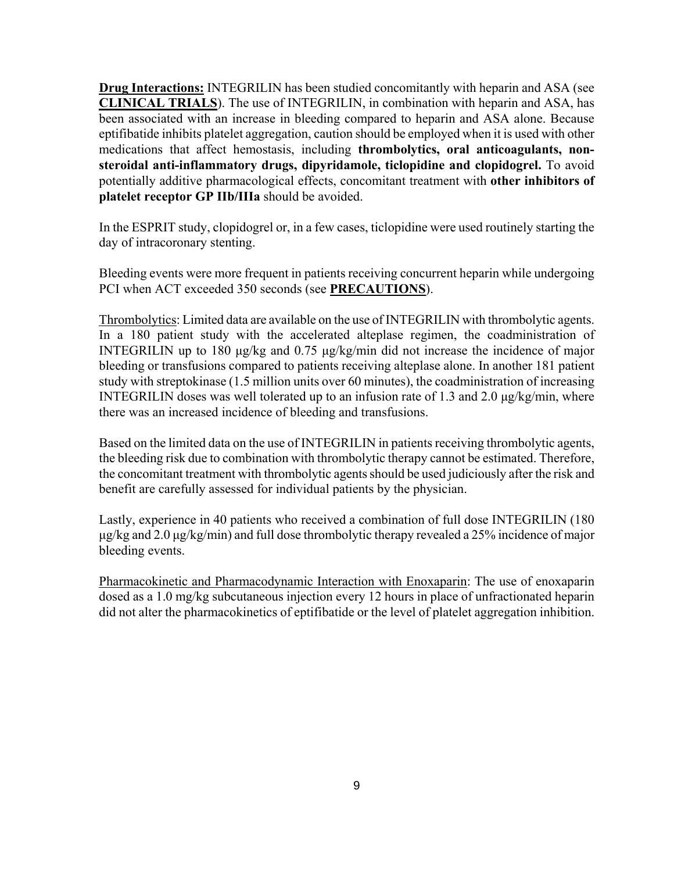**Drug Interactions:** INTEGRILIN has been studied concomitantly with heparin and ASA (see **CLINICAL TRIALS**). The use of INTEGRILIN, in combination with heparin and ASA, has been associated with an increase in bleeding compared to heparin and ASA alone. Because eptifibatide inhibits platelet aggregation, caution should be employed when it is used with other medications that affect hemostasis, including **thrombolytics, oral anticoagulants, nonsteroidal anti-inflammatory drugs, dipyridamole, ticlopidine and clopidogrel.** To avoid potentially additive pharmacological effects, concomitant treatment with **other inhibitors of platelet receptor GP IIb/IIIa** should be avoided.

In the ESPRIT study, clopidogrel or, in a few cases, ticlopidine were used routinely starting the day of intracoronary stenting.

Bleeding events were more frequent in patients receiving concurrent heparin while undergoing PCI when ACT exceeded 350 seconds (see **PRECAUTIONS**).

Thrombolytics: Limited data are available on the use of INTEGRILIN with thrombolytic agents. In a 180 patient study with the accelerated alteplase regimen, the coadministration of INTEGRILIN up to 180 μg/kg and 0.75 μg/kg/min did not increase the incidence of major bleeding or transfusions compared to patients receiving alteplase alone. In another 181 patient study with streptokinase (1.5 million units over 60 minutes), the coadministration of increasing INTEGRILIN doses was well tolerated up to an infusion rate of 1.3 and 2.0 μg/kg/min, where there was an increased incidence of bleeding and transfusions.

Based on the limited data on the use of INTEGRILIN in patients receiving thrombolytic agents, the bleeding risk due to combination with thrombolytic therapy cannot be estimated. Therefore, the concomitant treatment with thrombolytic agents should be used judiciously after the risk and benefit are carefully assessed for individual patients by the physician.

Lastly, experience in 40 patients who received a combination of full dose INTEGRILIN (180 μg/kg and 2.0 μg/kg/min) and full dose thrombolytic therapy revealed a 25% incidence of major bleeding events.

Pharmacokinetic and Pharmacodynamic Interaction with Enoxaparin: The use of enoxaparin dosed as a 1.0 mg/kg subcutaneous injection every 12 hours in place of unfractionated heparin did not alter the pharmacokinetics of eptifibatide or the level of platelet aggregation inhibition.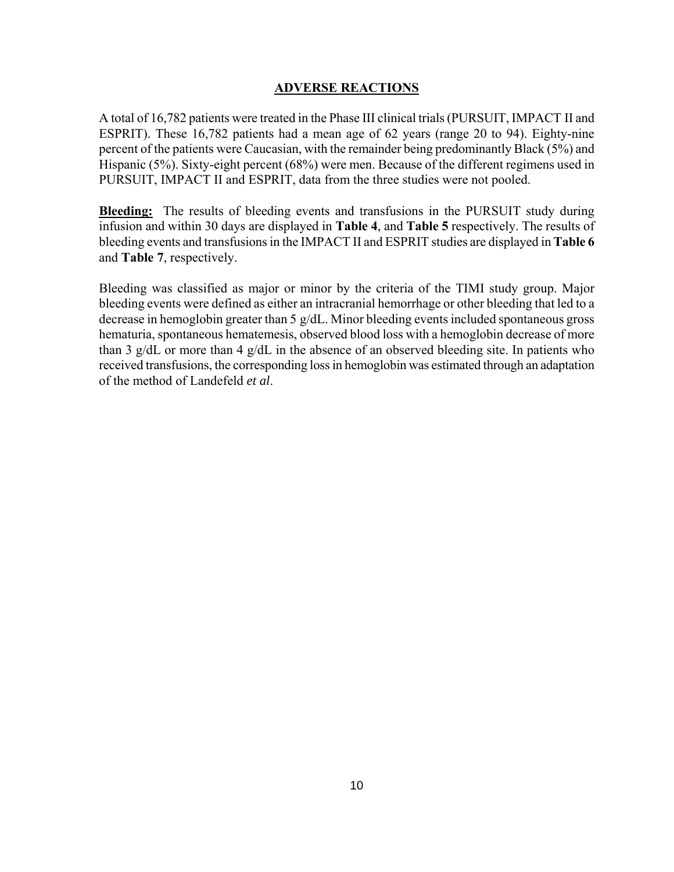### **ADVERSE REACTIONS**

A total of 16,782 patients were treated in the Phase III clinical trials (PURSUIT, IMPACT II and ESPRIT). These 16,782 patients had a mean age of 62 years (range 20 to 94). Eighty-nine percent of the patients were Caucasian, with the remainder being predominantly Black (5%) and Hispanic (5%). Sixty-eight percent (68%) were men. Because of the different regimens used in PURSUIT, IMPACT II and ESPRIT, data from the three studies were not pooled.

**Bleeding:** The results of bleeding events and transfusions in the PURSUIT study during infusion and within 30 days are displayed in **Table 4**, and **Table 5** respectively. The results of bleeding events and transfusions in the IMPACT II and ESPRIT studies are displayed in **Table 6** and **Table 7**, respectively.

Bleeding was classified as major or minor by the criteria of the TIMI study group. Major bleeding events were defined as either an intracranial hemorrhage or other bleeding that led to a decrease in hemoglobin greater than 5 g/dL. Minor bleeding events included spontaneous gross hematuria, spontaneous hematemesis, observed blood loss with a hemoglobin decrease of more than 3 g/dL or more than 4 g/dL in the absence of an observed bleeding site. In patients who received transfusions, the corresponding loss in hemoglobin was estimated through an adaptation of the method of Landefeld *et al*.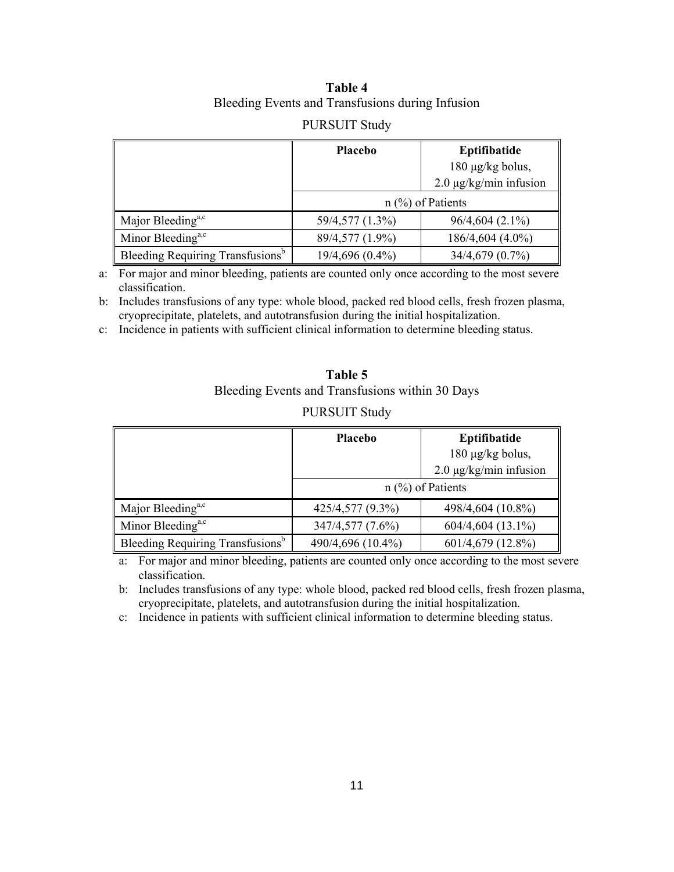# **Table 4**  Bleeding Events and Transfusions during Infusion

### PURSUIT Study

|                                              | <b>Placebo</b>  | Eptifibatide                |
|----------------------------------------------|-----------------|-----------------------------|
|                                              |                 | 180 µg/kg bolus,            |
|                                              |                 | $2.0 \mu g/kg/min$ infusion |
|                                              |                 | $n$ (%) of Patients         |
| Major Bleeding <sup>a,c</sup>                | 59/4,577 (1.3%) | $96/4,604(2.1\%)$           |
| Minor Bleeding <sup>a,c</sup>                | 89/4,577 (1.9%) | 186/4,604 (4.0%)            |
| Bleeding Requiring Transfusions <sup>b</sup> | 19/4,696 (0.4%) | 34/4,679 (0.7%)             |

a: For major and minor bleeding, patients are counted only once according to the most severe classification.

b: Includes transfusions of any type: whole blood, packed red blood cells, fresh frozen plasma, cryoprecipitate, platelets, and autotransfusion during the initial hospitalization.

c: Incidence in patients with sufficient clinical information to determine bleeding status.

| Table 5                                         |
|-------------------------------------------------|
| Bleeding Events and Transfusions within 30 Days |

|                                              | Placebo           | Eptifibatide                |
|----------------------------------------------|-------------------|-----------------------------|
|                                              |                   | 180 µg/kg bolus,            |
|                                              |                   | $2.0 \mu g/kg/min$ infusion |
|                                              |                   | $n$ (%) of Patients         |
| Major Bleeding <sup>a,c</sup>                | 425/4,577 (9.3%)  | 498/4,604 (10.8%)           |
| Minor Bleeding <sup>a,c</sup>                | 347/4,577 (7.6%)  | 604/4,604 (13.1%)           |
| Bleeding Requiring Transfusions <sup>b</sup> | 490/4,696 (10.4%) | 601/4,679 (12.8%)           |

#### PURSUIT Study

a: For major and minor bleeding, patients are counted only once according to the most severe classification.

b: Includes transfusions of any type: whole blood, packed red blood cells, fresh frozen plasma, cryoprecipitate, platelets, and autotransfusion during the initial hospitalization.

c: Incidence in patients with sufficient clinical information to determine bleeding status.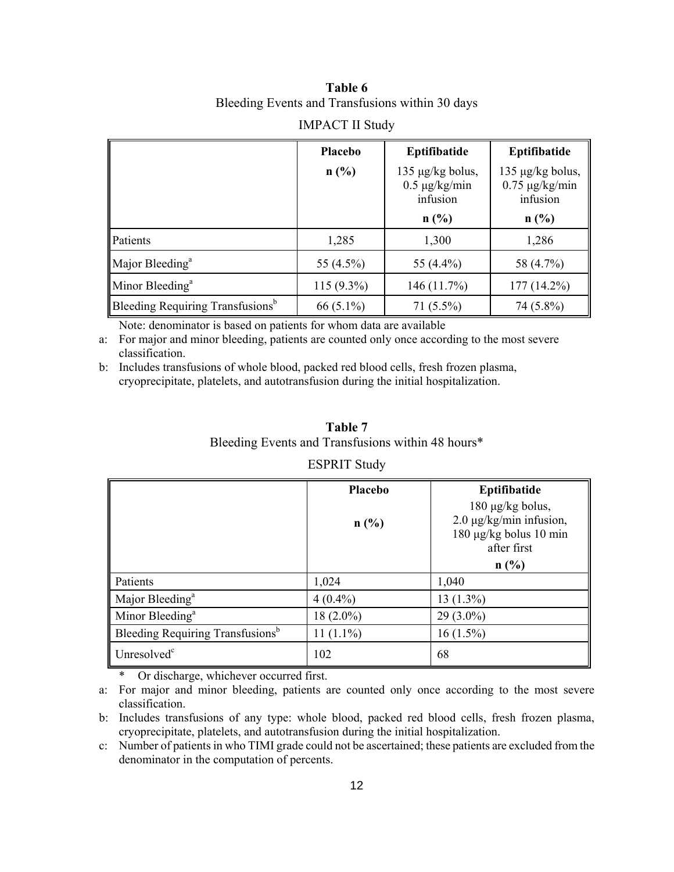# **Table 6**  Bleeding Events and Transfusions within 30 days

|                                              | Placebo      | Eptifibatide                                       | Eptifibatide                                             |
|----------------------------------------------|--------------|----------------------------------------------------|----------------------------------------------------------|
|                                              | $n$ (%)      | 135 µg/kg bolus,<br>$0.5 \mu g/kg/min$<br>infusion | 135 $\mu$ g/kg bolus,<br>$0.75 \mu g/kg/min$<br>infusion |
|                                              |              | $n$ (%)                                            | $n$ (%)                                                  |
| Patients                                     | 1,285        | 1,300                                              | 1,286                                                    |
| Major Bleeding <sup>a</sup>                  | 55 (4.5%)    | 55 (4.4%)                                          | 58 (4.7%)                                                |
| Minor Bleeding <sup>a</sup>                  | $115(9.3\%)$ | 146(11.7%)                                         | 177 (14.2%)                                              |
| Bleeding Requiring Transfusions <sup>b</sup> | 66 $(5.1\%)$ | $71(5.5\%)$                                        | 74 (5.8%)                                                |

### IMPACT II Study

Note: denominator is based on patients for whom data are available

a: For major and minor bleeding, patients are counted only once according to the most severe classification.

b: Includes transfusions of whole blood, packed red blood cells, fresh frozen plasma, cryoprecipitate, platelets, and autotransfusion during the initial hospitalization.

# **Table 7** Bleeding Events and Transfusions within 48 hours\*

### ESPRIT Study

|                                              | Placebo     | Eptifibatide                                                                         |
|----------------------------------------------|-------------|--------------------------------------------------------------------------------------|
|                                              | $n$ (%)     | 180 µg/kg bolus,<br>2.0 μg/kg/min infusion,<br>180 μg/kg bolus 10 min<br>after first |
|                                              |             | $n$ (%)                                                                              |
| Patients                                     | 1,024       | 1,040                                                                                |
| Major Bleeding <sup>a</sup>                  | $4(0.4\%)$  | $13(1.3\%)$                                                                          |
| Minor Bleeding <sup>a</sup>                  | $18(2.0\%)$ | $29(3.0\%)$                                                                          |
| Bleeding Requiring Transfusions <sup>b</sup> | $11(1.1\%)$ | $16(1.5\%)$                                                                          |
| Unresolved <sup>c</sup>                      | 102         | 68                                                                                   |

\* Or discharge, whichever occurred first.

a: For major and minor bleeding, patients are counted only once according to the most severe classification.

b: Includes transfusions of any type: whole blood, packed red blood cells, fresh frozen plasma, cryoprecipitate, platelets, and autotransfusion during the initial hospitalization.

c: Number of patients in who TIMI grade could not be ascertained; these patients are excluded from the denominator in the computation of percents.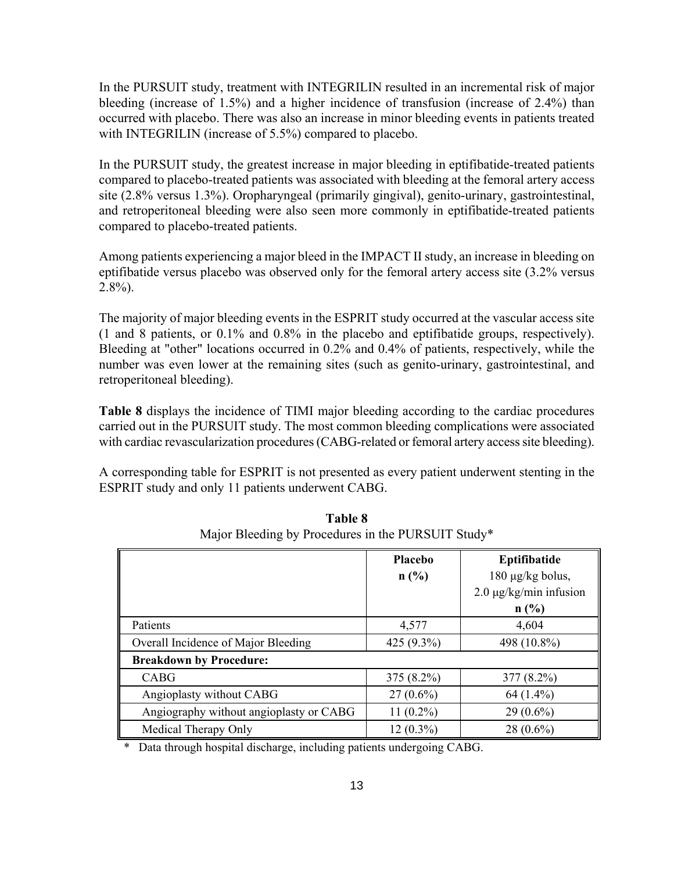In the PURSUIT study, treatment with INTEGRILIN resulted in an incremental risk of major bleeding (increase of 1.5%) and a higher incidence of transfusion (increase of 2.4%) than occurred with placebo. There was also an increase in minor bleeding events in patients treated with INTEGRILIN (increase of 5.5%) compared to placebo.

In the PURSUIT study, the greatest increase in major bleeding in eptifibatide-treated patients compared to placebo-treated patients was associated with bleeding at the femoral artery access site (2.8% versus 1.3%). Oropharyngeal (primarily gingival), genito-urinary, gastrointestinal, and retroperitoneal bleeding were also seen more commonly in eptifibatide-treated patients compared to placebo-treated patients.

Among patients experiencing a major bleed in the IMPACT II study, an increase in bleeding on eptifibatide versus placebo was observed only for the femoral artery access site (3.2% versus  $2.8\%$ ).

The majority of major bleeding events in the ESPRIT study occurred at the vascular access site (1 and 8 patients, or 0.1% and 0.8% in the placebo and eptifibatide groups, respectively). Bleeding at "other" locations occurred in 0.2% and 0.4% of patients, respectively, while the number was even lower at the remaining sites (such as genito-urinary, gastrointestinal, and retroperitoneal bleeding).

**Table 8** displays the incidence of TIMI major bleeding according to the cardiac procedures carried out in the PURSUIT study. The most common bleeding complications were associated with cardiac revascularization procedures (CABG-related or femoral artery access site bleeding).

A corresponding table for ESPRIT is not presented as every patient underwent stenting in the ESPRIT study and only 11 patients underwent CABG.

|                                         | <b>Placebo</b><br>n(%) | Eptifibatide<br>180 µg/kg bolus,<br>$2.0 \mu g/kg/min$ infusion<br>n(%) |
|-----------------------------------------|------------------------|-------------------------------------------------------------------------|
| Patients                                | 4,577                  | 4,604                                                                   |
| Overall Incidence of Major Bleeding     | 425 (9.3%)             | 498 (10.8%)                                                             |
| <b>Breakdown by Procedure:</b>          |                        |                                                                         |
| CABG                                    | $375(8.2\%)$           | $377(8.2\%)$                                                            |
| Angioplasty without CABG                | $27(0.6\%)$            | $64(1.4\%)$                                                             |
| Angiography without angioplasty or CABG | $11(0.2\%)$            | $29(0.6\%)$                                                             |
| Medical Therapy Only                    | $12(0.3\%)$            | $28(0.6\%)$                                                             |

**Table 8**  Major Bleeding by Procedures in the PURSUIT Study\*

Data through hospital discharge, including patients undergoing CABG.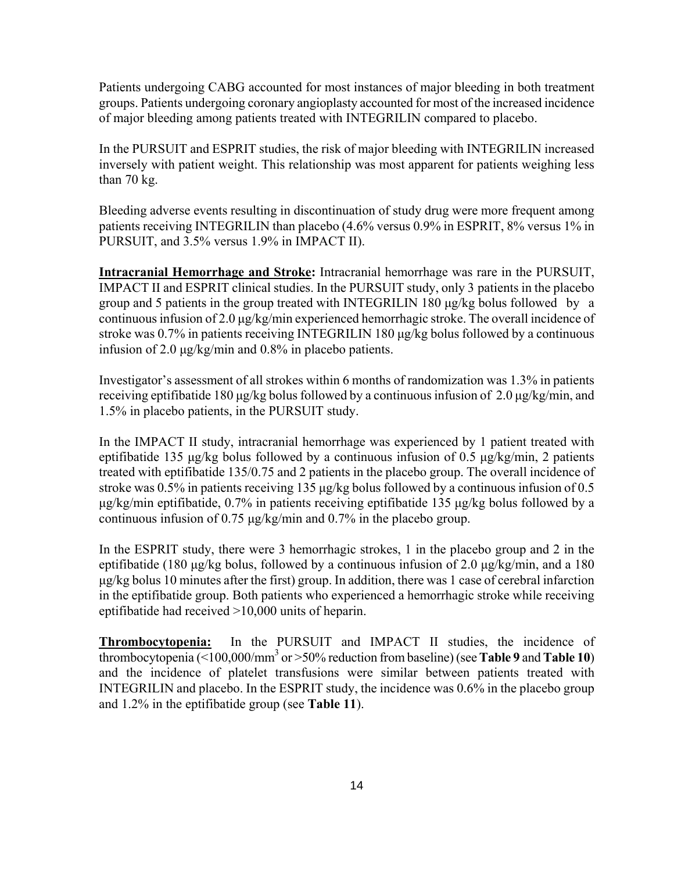Patients undergoing CABG accounted for most instances of major bleeding in both treatment groups. Patients undergoing coronary angioplasty accounted for most of the increased incidence of major bleeding among patients treated with INTEGRILIN compared to placebo.

In the PURSUIT and ESPRIT studies, the risk of major bleeding with INTEGRILIN increased inversely with patient weight. This relationship was most apparent for patients weighing less than 70 kg.

Bleeding adverse events resulting in discontinuation of study drug were more frequent among patients receiving INTEGRILIN than placebo (4.6% versus 0.9% in ESPRIT, 8% versus 1% in PURSUIT, and 3.5% versus 1.9% in IMPACT II).

**Intracranial Hemorrhage and Stroke:** Intracranial hemorrhage was rare in the PURSUIT, IMPACT II and ESPRIT clinical studies. In the PURSUIT study, only 3 patients in the placebo group and 5 patients in the group treated with INTEGRILIN 180 μg/kg bolus followed by a continuous infusion of 2.0 μg/kg/min experienced hemorrhagic stroke. The overall incidence of stroke was 0.7% in patients receiving INTEGRILIN 180 μg/kg bolus followed by a continuous infusion of 2.0 μg/kg/min and 0.8% in placebo patients.

Investigator's assessment of all strokes within 6 months of randomization was 1.3% in patients receiving eptifibatide 180 μg/kg bolus followed by a continuous infusion of 2.0 μg/kg/min, and 1.5% in placebo patients, in the PURSUIT study.

In the IMPACT II study, intracranial hemorrhage was experienced by 1 patient treated with eptifibatide 135 μg/kg bolus followed by a continuous infusion of 0.5 μg/kg/min, 2 patients treated with eptifibatide 135/0.75 and 2 patients in the placebo group. The overall incidence of stroke was 0.5% in patients receiving 135 μg/kg bolus followed by a continuous infusion of 0.5 μg/kg/min eptifibatide, 0.7% in patients receiving eptifibatide 135 μg/kg bolus followed by a continuous infusion of 0.75 μg/kg/min and 0.7% in the placebo group.

In the ESPRIT study, there were 3 hemorrhagic strokes, 1 in the placebo group and 2 in the eptifibatide (180 μg/kg bolus, followed by a continuous infusion of 2.0 μg/kg/min, and a 180 μg/kg bolus 10 minutes after the first) group. In addition, there was 1 case of cerebral infarction in the eptifibatide group. Both patients who experienced a hemorrhagic stroke while receiving eptifibatide had received >10,000 units of heparin.

**Thrombocytopenia:** In the PURSUIT and IMPACT II studies, the incidence of thrombocytopenia ( $\leq 100,000/\text{mm}^3$  or  $> 50\%$  reduction from baseline) (see **Table 9** and **Table 10**) and the incidence of platelet transfusions were similar between patients treated with INTEGRILIN and placebo. In the ESPRIT study, the incidence was 0.6% in the placebo group and 1.2% in the eptifibatide group (see **Table 11**).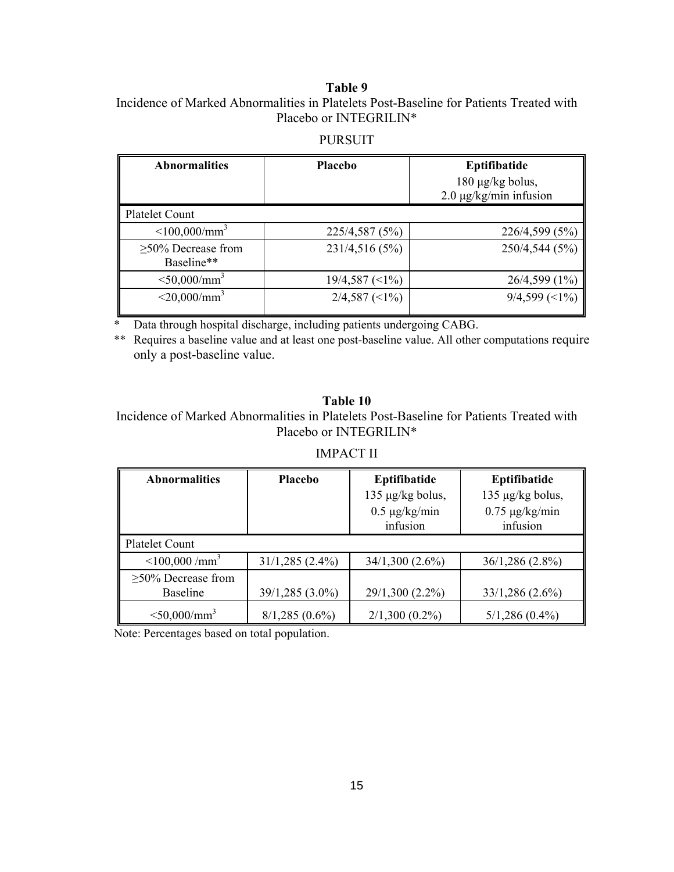### **Table 9**

Incidence of Marked Abnormalities in Platelets Post-Baseline for Patients Treated with Placebo or INTEGRILIN\*

## PURSUIT

| <b>Abnormalities</b>                   | <b>Placebo</b>         | Eptifibatide<br>180 µg/kg bolus,<br>$2.0 \mu g/kg/min$ infusion |
|----------------------------------------|------------------------|-----------------------------------------------------------------|
| <b>Platelet Count</b>                  |                        |                                                                 |
| $\leq 100,000/\text{mm}^3$             | 225/4,587 (5%)         | 226/4,599 (5%)                                                  |
| $\geq$ 50% Decrease from<br>Baseline** | 231/4,516 (5%)         | 250/4,544 (5%)                                                  |
| $<$ 50,000/mm <sup>3</sup>             | $19/4,587 \approx 1\%$ | $26/4,599(1\%)$                                                 |
| $<$ 20,000/mm <sup>3</sup>             | $2/4,587 \approx 1\%$  | $9/4,599 \approx 1\%$                                           |

Data through hospital discharge, including patients undergoing CABG.

\*\* Requires a baseline value and at least one post-baseline value. All other computations require only a post-baseline value.

### **Table 10**

Incidence of Marked Abnormalities in Platelets Post-Baseline for Patients Treated with Placebo or INTEGRILIN\*

### IMPACT II

| <b>Abnormalities</b>           | <b>Placebo</b>    | Eptifibatide       | Eptifibatide        |
|--------------------------------|-------------------|--------------------|---------------------|
|                                |                   | 135 µg/kg bolus,   | 135 µg/kg bolus,    |
|                                |                   | $0.5 \mu g/kg/min$ | $0.75 \mu g/kg/min$ |
|                                |                   | infusion           | infusion            |
| <b>Platelet Count</b>          |                   |                    |                     |
| $\leq$ 100,000/mm <sup>3</sup> | $31/1,285(2.4\%)$ | $34/1,300(2.6\%)$  | $36/1,286(2.8\%)$   |
| $\geq$ 50% Decrease from       |                   |                    |                     |
| <b>Baseline</b>                | 39/1,285 (3.0%)   | 29/1,300 (2.2%)    | $33/1,286(2.6\%)$   |
| $<$ 50,000/mm <sup>3</sup>     | $8/1,285(0.6\%)$  | $2/1,300(0.2\%)$   | $5/1,286(0.4\%)$    |

Note: Percentages based on total population.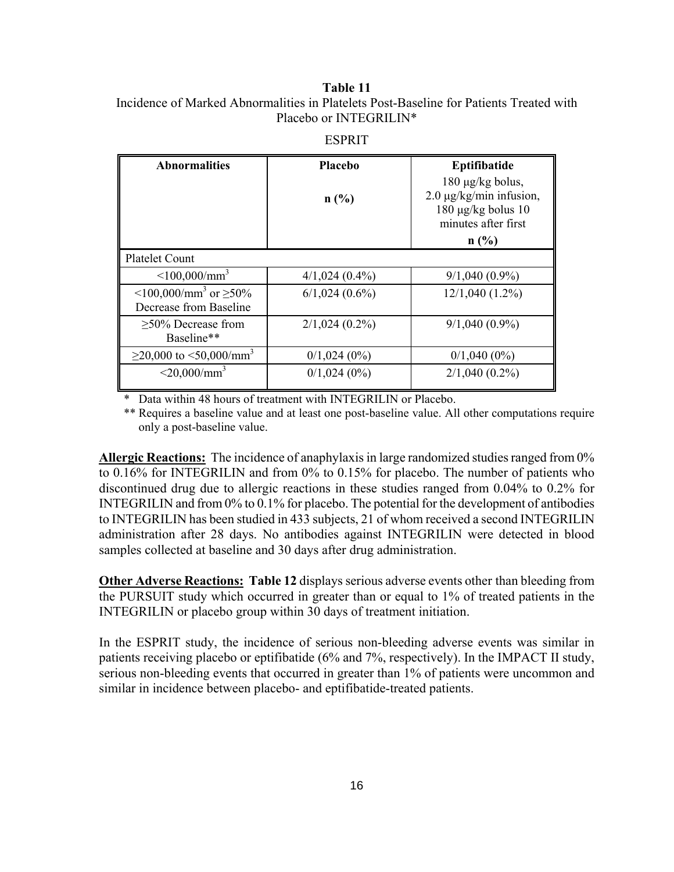### **Table 11**

Incidence of Marked Abnormalities in Platelets Post-Baseline for Patients Treated with Placebo or INTEGRILIN\*

| <b>Abnormalities</b>                                                | Placebo             | Eptifibatide<br>$180 \mu g/kg$ bolus,                                                    |
|---------------------------------------------------------------------|---------------------|------------------------------------------------------------------------------------------|
|                                                                     | n(%)                | $2.0 \mu g/kg/min$ infusion,<br>$180 \mu g/kg$ bolus $10$<br>minutes after first<br>n(%) |
| Platelet Count                                                      |                     |                                                                                          |
| $\leq 100,000/\text{mm}^3$                                          | $4/1,024(0.4\%)$    | $9/1,040(0.9\%)$                                                                         |
| $\leq 100,000/\text{mm}^3$ or $\geq 50\%$<br>Decrease from Baseline | $6/1,024$ $(0.6\%)$ | $12/1,040(1.2\%)$                                                                        |
| $>50\%$ Decrease from<br>Baseline**                                 | $2/1,024(0.2\%)$    | $9/1,040(0.9\%)$                                                                         |
| $\geq$ 20,000 to <50,000/mm <sup>3</sup>                            | $0/1,024(0\%)$      | $0/1,040(0\%)$                                                                           |
| $<$ 20,000/mm <sup>3</sup>                                          | $0/1,024(0\%)$      | $2/1,040(0.2\%)$                                                                         |

ESPRIT

\* Data within 48 hours of treatment with INTEGRILIN or Placebo.

\*\* Requires a baseline value and at least one post-baseline value. All other computations require only a post-baseline value.

**Allergic Reactions:** The incidence of anaphylaxis in large randomized studies ranged from 0% to 0.16% for INTEGRILIN and from 0% to 0.15% for placebo. The number of patients who discontinued drug due to allergic reactions in these studies ranged from 0.04% to 0.2% for INTEGRILIN and from 0% to 0.1% for placebo. The potential for the development of antibodies to INTEGRILIN has been studied in 433 subjects, 21 of whom received a second INTEGRILIN administration after 28 days. No antibodies against INTEGRILIN were detected in blood samples collected at baseline and 30 days after drug administration.

**Other Adverse Reactions: Table 12** displays serious adverse events other than bleeding from the PURSUIT study which occurred in greater than or equal to 1% of treated patients in the INTEGRILIN or placebo group within 30 days of treatment initiation.

In the ESPRIT study, the incidence of serious non-bleeding adverse events was similar in patients receiving placebo or eptifibatide (6% and 7%, respectively). In the IMPACT II study, serious non-bleeding events that occurred in greater than 1% of patients were uncommon and similar in incidence between placebo- and eptifibatide-treated patients.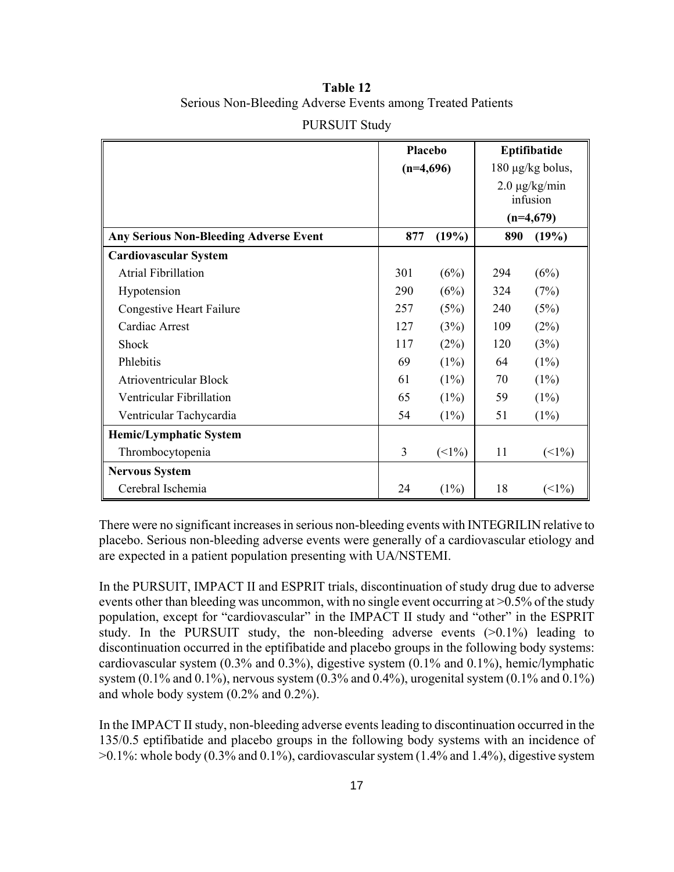# **Table 12**  Serious Non-Bleeding Adverse Events among Treated Patients

|                                               | Placebo<br>$(n=4,696)$ |         | Eptifibatide<br>$180 \mu g/kg$ bolus, |              |
|-----------------------------------------------|------------------------|---------|---------------------------------------|--------------|
|                                               |                        |         |                                       |              |
|                                               |                        |         | $2.0 \mu g/kg/min$                    |              |
|                                               |                        |         | infusion                              |              |
|                                               |                        |         | $(n=4,679)$                           |              |
| <b>Any Serious Non-Bleeding Adverse Event</b> | 877                    | (19%)   | 890                                   | (19%)        |
| <b>Cardiovascular System</b>                  |                        |         |                                       |              |
| <b>Atrial Fibrillation</b>                    | 301                    | (6%)    | 294                                   | (6%)         |
| Hypotension                                   | 290                    | (6%)    | 324                                   | (7%)         |
| <b>Congestive Heart Failure</b>               | 257                    | (5%)    | 240                                   | (5%)         |
| Cardiac Arrest                                | 127                    | (3%)    | 109                                   | (2%)         |
| Shock                                         | 117                    | (2%)    | 120                                   | (3%)         |
| Phlebitis                                     | 69                     | $(1\%)$ | 64                                    | $(1\%)$      |
| <b>Atrioventricular Block</b>                 | 61                     | $(1\%)$ | 70                                    | (1%)         |
| Ventricular Fibrillation                      | 65                     | $(1\%)$ | 59                                    | $(1\%)$      |
| Ventricular Tachycardia                       | 54                     | $(1\%)$ | 51                                    | (1%)         |
| <b>Hemic/Lymphatic System</b>                 |                        |         |                                       |              |
| Thrombocytopenia                              | 3                      | $(1\%)$ | 11                                    | $(\leq 1\%)$ |
| <b>Nervous System</b>                         |                        |         |                                       |              |
| Cerebral Ischemia                             | 24                     | $(1\%)$ | 18                                    | (            |

### PURSUIT Study

There were no significant increases in serious non-bleeding events with INTEGRILIN relative to placebo. Serious non-bleeding adverse events were generally of a cardiovascular etiology and are expected in a patient population presenting with UA/NSTEMI.

In the PURSUIT, IMPACT II and ESPRIT trials, discontinuation of study drug due to adverse events other than bleeding was uncommon, with no single event occurring at >0.5% of the study population, except for "cardiovascular" in the IMPACT II study and "other" in the ESPRIT study. In the PURSUIT study, the non-bleeding adverse events  $(>0.1\%)$  leading to discontinuation occurred in the eptifibatide and placebo groups in the following body systems: cardiovascular system (0.3% and 0.3%), digestive system (0.1% and 0.1%), hemic/lymphatic system  $(0.1\%$  and  $0.1\%)$ , nervous system  $(0.3\%$  and  $0.4\%)$ , urogenital system  $(0.1\%$  and  $0.1\%)$ and whole body system (0.2% and 0.2%).

In the IMPACT II study, non-bleeding adverse events leading to discontinuation occurred in the 135/0.5 eptifibatide and placebo groups in the following body systems with an incidence of >0.1%: whole body (0.3% and 0.1%), cardiovascular system (1.4% and 1.4%), digestive system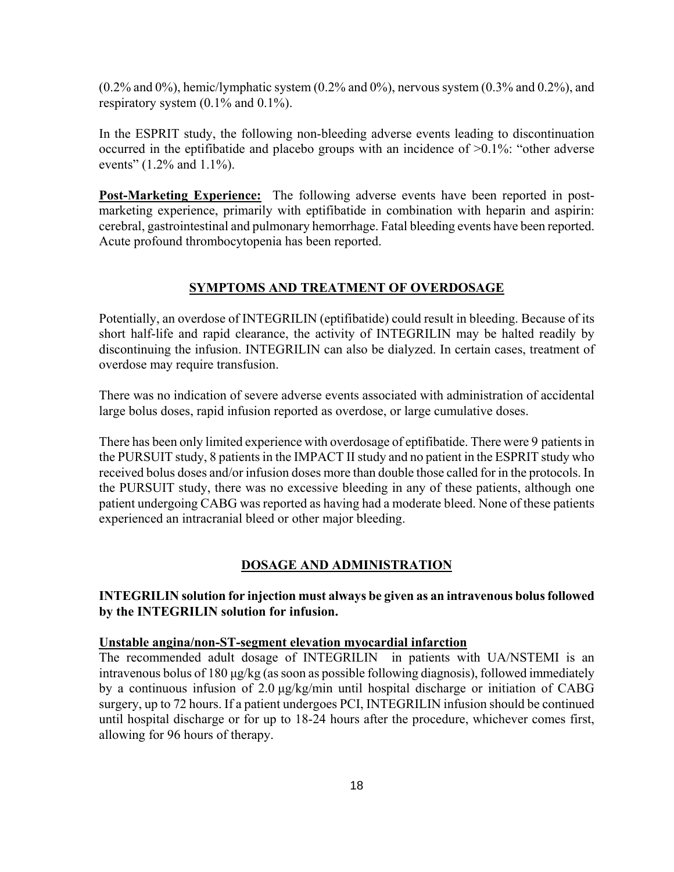(0.2% and 0%), hemic/lymphatic system (0.2% and 0%), nervous system (0.3% and 0.2%), and respiratory system (0.1% and 0.1%).

In the ESPRIT study, the following non-bleeding adverse events leading to discontinuation occurred in the eptifibatide and placebo groups with an incidence of >0.1%: "other adverse events" (1.2% and 1.1%).

**Post-Marketing Experience:** The following adverse events have been reported in postmarketing experience, primarily with eptifibatide in combination with heparin and aspirin: cerebral, gastrointestinal and pulmonary hemorrhage. Fatal bleeding events have been reported. Acute profound thrombocytopenia has been reported.

#### **SYMPTOMS AND TREATMENT OF OVERDOSAGE**

Potentially, an overdose of INTEGRILIN (eptifibatide) could result in bleeding. Because of its short half-life and rapid clearance, the activity of INTEGRILIN may be halted readily by discontinuing the infusion. INTEGRILIN can also be dialyzed. In certain cases, treatment of overdose may require transfusion.

There was no indication of severe adverse events associated with administration of accidental large bolus doses, rapid infusion reported as overdose, or large cumulative doses.

There has been only limited experience with overdosage of eptifibatide. There were 9 patients in the PURSUIT study, 8 patients in the IMPACT II study and no patient in the ESPRIT study who received bolus doses and/or infusion doses more than double those called for in the protocols. In the PURSUIT study, there was no excessive bleeding in any of these patients, although one patient undergoing CABG was reported as having had a moderate bleed. None of these patients experienced an intracranial bleed or other major bleeding.

#### **DOSAGE AND ADMINISTRATION**

**INTEGRILIN solution for injection must always be given as an intravenous bolus followed by the INTEGRILIN solution for infusion.** 

#### **Unstable angina/non-ST-segment elevation myocardial infarction**

The recommended adult dosage of INTEGRILIN in patients with UA/NSTEMI is an intravenous bolus of 180 μg/kg (as soon as possible following diagnosis), followed immediately by a continuous infusion of 2.0 μg/kg/min until hospital discharge or initiation of CABG surgery, up to 72 hours. If a patient undergoes PCI, INTEGRILIN infusion should be continued until hospital discharge or for up to 18-24 hours after the procedure, whichever comes first, allowing for 96 hours of therapy.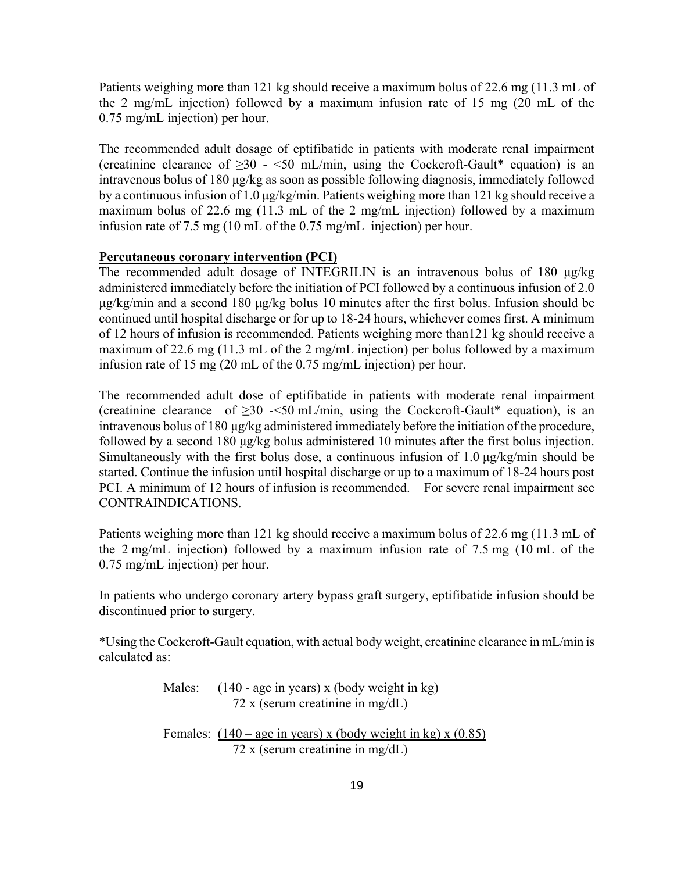Patients weighing more than 121 kg should receive a maximum bolus of 22.6 mg (11.3 mL of the 2 mg/mL injection) followed by a maximum infusion rate of 15 mg (20 mL of the 0.75 mg/mL injection) per hour.

The recommended adult dosage of eptifibatide in patients with moderate renal impairment (creatinine clearance of  $\geq 30$  - <50 mL/min, using the Cockcroft-Gault\* equation) is an intravenous bolus of 180 μg/kg as soon as possible following diagnosis, immediately followed by a continuous infusion of 1.0 μg/kg/min. Patients weighing more than 121 kg should receive a maximum bolus of 22.6 mg (11.3 mL of the 2 mg/mL injection) followed by a maximum infusion rate of 7.5 mg (10 mL of the 0.75 mg/mL injection) per hour.

#### **Percutaneous coronary intervention (PCI)**

The recommended adult dosage of INTEGRILIN is an intravenous bolus of 180 μg/kg administered immediately before the initiation of PCI followed by a continuous infusion of 2.0 μg/kg/min and a second 180 μg/kg bolus 10 minutes after the first bolus. Infusion should be continued until hospital discharge or for up to 18-24 hours, whichever comes first. A minimum of 12 hours of infusion is recommended. Patients weighing more than121 kg should receive a maximum of 22.6 mg (11.3 mL of the 2 mg/mL injection) per bolus followed by a maximum infusion rate of 15 mg (20 mL of the 0.75 mg/mL injection) per hour.

The recommended adult dose of eptifibatide in patients with moderate renal impairment (creatinine clearance of  $\geq$ 30 -<50 mL/min, using the Cockcroft-Gault\* equation), is an intravenous bolus of 180 μg/kg administered immediately before the initiation of the procedure, followed by a second 180 μg/kg bolus administered 10 minutes after the first bolus injection. Simultaneously with the first bolus dose, a continuous infusion of 1.0 μg/kg/min should be started. Continue the infusion until hospital discharge or up to a maximum of 18-24 hours post PCI. A minimum of 12 hours of infusion is recommended. For severe renal impairment see CONTRAINDICATIONS.

Patients weighing more than 121 kg should receive a maximum bolus of 22.6 mg (11.3 mL of the 2 mg/mL injection) followed by a maximum infusion rate of 7.5 mg (10 mL of the 0.75 mg/mL injection) per hour.

In patients who undergo coronary artery bypass graft surgery, eptifibatide infusion should be discontinued prior to surgery.

\*Using the Cockcroft-Gault equation, with actual body weight, creatinine clearance in mL/min is calculated as:

> Males:  $(140 - age \text{ in years}) \times (body \text{ weight in kg})$ 72 x (serum creatinine in mg/dL)

Females:  $(140 - \text{age in years})$  x (body weight in kg) x  $(0.85)$ 72 x (serum creatinine in mg/dL)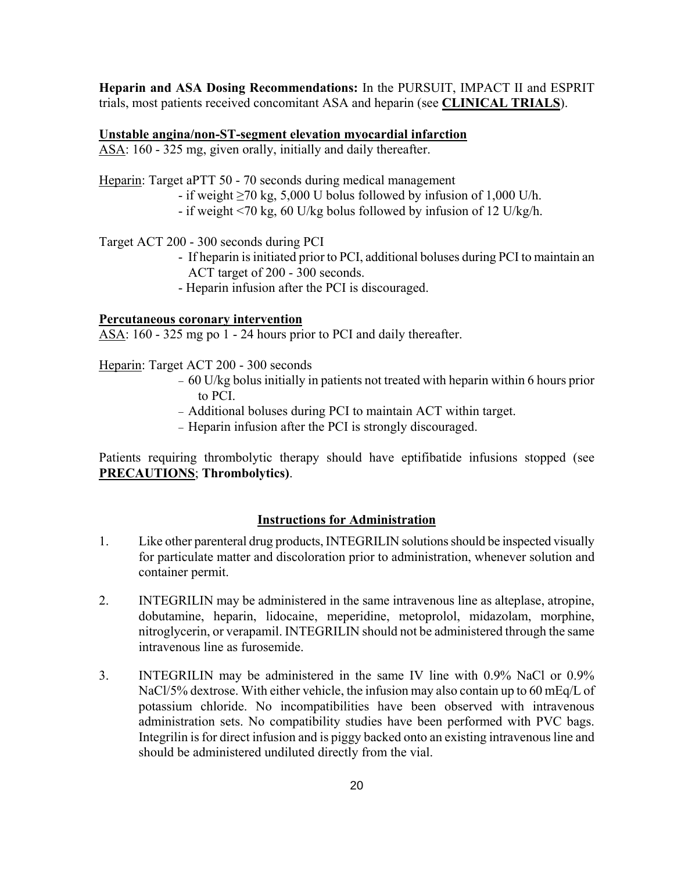**Heparin and ASA Dosing Recommendations:** In the PURSUIT, IMPACT II and ESPRIT trials, most patients received concomitant ASA and heparin (see **CLINICAL TRIALS**).

#### **Unstable angina/non-ST-segment elevation myocardial infarction**

ASA: 160 - 325 mg, given orally, initially and daily thereafter.

Heparin: Target aPTT 50 - 70 seconds during medical management

- if weight  $\geq$ 70 kg, 5,000 U bolus followed by infusion of 1,000 U/h.
- if weight <70 kg, 60 U/kg bolus followed by infusion of 12 U/kg/h.

### Target ACT 200 - 300 seconds during PCI

- If heparin is initiated prior to PCI, additional boluses during PCI to maintain an ACT target of 200 - 300 seconds.
- Heparin infusion after the PCI is discouraged.

### **Percutaneous coronary intervention**

ASA: 160 - 325 mg po 1 - 24 hours prior to PCI and daily thereafter.

### Heparin: Target ACT 200 - 300 seconds

- − 60 U/kg bolus initially in patients not treated with heparin within 6 hours prior to PCI.
- − Additional boluses during PCI to maintain ACT within target.
- − Heparin infusion after the PCI is strongly discouraged.

Patients requiring thrombolytic therapy should have eptifibatide infusions stopped (see **PRECAUTIONS**; **Thrombolytics)**.

### **Instructions for Administration**

- 1. Like other parenteral drug products, INTEGRILIN solutions should be inspected visually for particulate matter and discoloration prior to administration, whenever solution and container permit.
- 2. INTEGRILIN may be administered in the same intravenous line as alteplase, atropine, dobutamine, heparin, lidocaine, meperidine, metoprolol, midazolam, morphine, nitroglycerin, or verapamil. INTEGRILIN should not be administered through the same intravenous line as furosemide.
- 3. INTEGRILIN may be administered in the same IV line with 0.9% NaCl or 0.9% NaCl/5% dextrose. With either vehicle, the infusion may also contain up to 60 mEq/L of potassium chloride. No incompatibilities have been observed with intravenous administration sets. No compatibility studies have been performed with PVC bags. Integrilin is for direct infusion and is piggy backed onto an existing intravenous line and should be administered undiluted directly from the vial.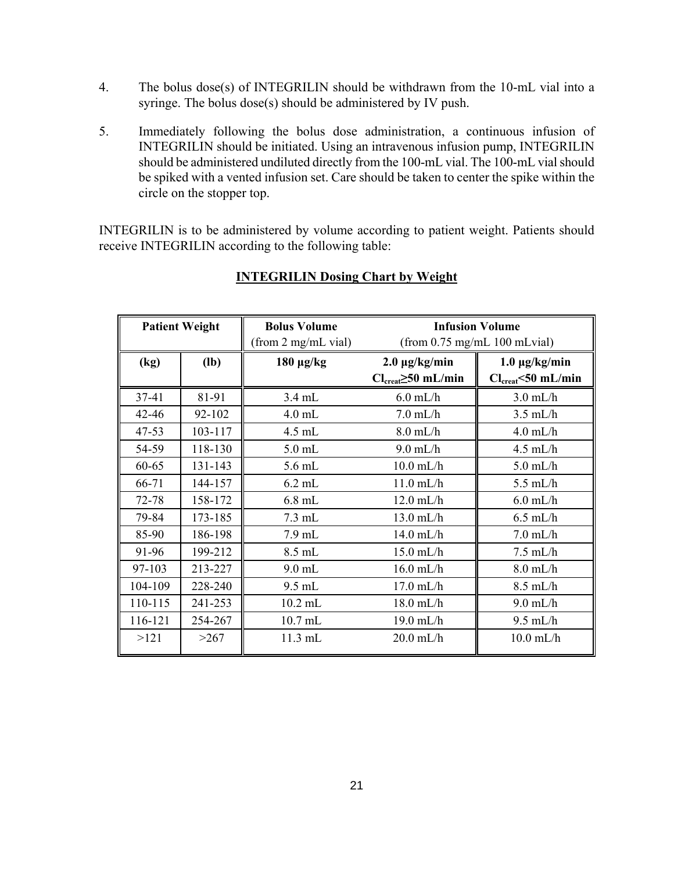- 4. The bolus dose(s) of INTEGRILIN should be withdrawn from the 10-mL vial into a syringe. The bolus dose(s) should be administered by IV push.
- 5. Immediately following the bolus dose administration, a continuous infusion of INTEGRILIN should be initiated. Using an intravenous infusion pump, INTEGRILIN should be administered undiluted directly from the 100-mL vial. The 100-mL vial should be spiked with a vented infusion set. Care should be taken to center the spike within the circle on the stopper top.

INTEGRILIN is to be administered by volume according to patient weight. Patients should receive INTEGRILIN according to the following table:

|           | <b>Patient Weight</b> | <b>Bolus Volume</b> | <b>Infusion Volume</b>                     |                                |
|-----------|-----------------------|---------------------|--------------------------------------------|--------------------------------|
|           |                       | (from 2 mg/mL vial) | (from 0.75 mg/mL 100 mLvial)               |                                |
| (kg)      | $(lb)$                | $180 \mu g/kg$      | $2.0 \mu g/kg/min$                         | $1.0 \mu g/kg/min$             |
|           |                       |                     | $Cl_{\text{creat}} \geq 50 \text{ mL/min}$ | $Cl_{\text{creat}}$ <50 mL/min |
| $37 - 41$ | 81-91                 | $3.4$ mL            | $6.0$ mL/h                                 | $3.0$ mL/h                     |
| $42 - 46$ | 92-102                | $4.0$ mL            | $7.0$ mL/h                                 | $3.5$ mL/h                     |
| 47-53     | 103-117               | $4.5$ mL            | $8.0$ mL/h                                 | $4.0$ mL/h                     |
| 54-59     | 118-130               | $5.0$ mL            | $9.0$ mL/h                                 | $4.5$ mL/h                     |
| 60-65     | 131-143               | 5.6 mL              | $10.0$ mL/h                                | $5.0$ mL/h                     |
| 66-71     | 144-157               | $6.2$ mL            | $11.0$ mL/h                                | $5.5$ mL/h                     |
| 72-78     | 158-172               | $6.8$ mL            | $12.0$ mL/h                                | $6.0$ mL/h                     |
| 79-84     | 173-185               | $7.3 \text{ mL}$    | $13.0$ mL/h                                | $6.5$ mL/h                     |
| 85-90     | 186-198               | $7.9$ mL            | $14.0$ mL/h                                | $7.0$ mL/h                     |
| 91-96     | 199-212               | 8.5 mL              | $15.0$ mL/h                                | $7.5$ mL/h                     |
| 97-103    | 213-227               | $9.0$ mL            | $16.0$ mL/h                                | $8.0$ mL/h                     |
| 104-109   | 228-240               | $9.5$ mL            | $17.0$ mL/h                                | $8.5$ mL/h                     |
| 110-115   | 241-253               | $10.2$ mL           | $18.0$ mL/h                                | $9.0$ mL/h                     |
| 116-121   | 254-267               | 10.7 mL             | $19.0$ mL/h                                | $9.5$ mL/h                     |
| >121      | >267                  | $11.3$ mL           | $20.0$ mL/h                                | $10.0$ mL/h                    |

### **INTEGRILIN Dosing Chart by Weight**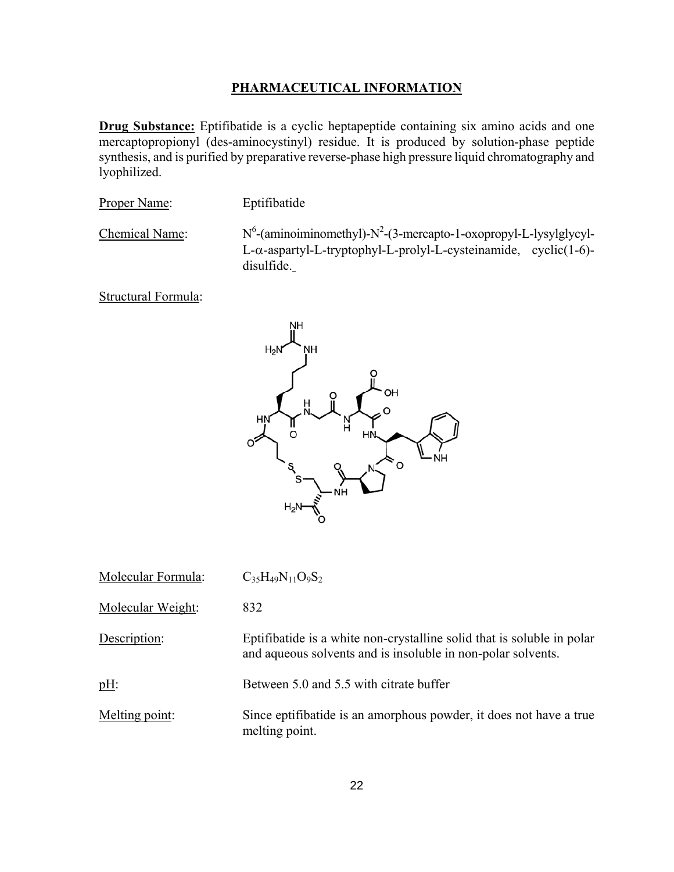### **PHARMACEUTICAL INFORMATION**

**Drug Substance:** Eptifibatide is a cyclic heptapeptide containing six amino acids and one mercaptopropionyl (des-aminocystinyl) residue. It is produced by solution-phase peptide synthesis, and is purified by preparative reverse-phase high pressure liquid chromatography and lyophilized.

Proper Name: Eptifibatide

Chemical Name:

 $-(\text{aminoiminometry} - N^2 - (3-\text{mercapto-1-oxopropy} - L-lysylglycyl-$ L-α-aspartyl-L-tryptophyl-L-prolyl-L-cysteinamide, cyclic(1-6) disulfide.

Structural Formula:



| Molecular Formula: | $C_35H_{49}N_{11}O_9S_2$                                                                                                               |
|--------------------|----------------------------------------------------------------------------------------------------------------------------------------|
| Molecular Weight:  | 832                                                                                                                                    |
| Description:       | Eptifibatide is a white non-crystalline solid that is soluble in polar<br>and aqueous solvents and is insoluble in non-polar solvents. |
| $pH$ :             | Between 5.0 and 5.5 with citrate buffer                                                                                                |
| Melting point:     | Since eptifibatide is an amorphous powder, it does not have a true<br>melting point.                                                   |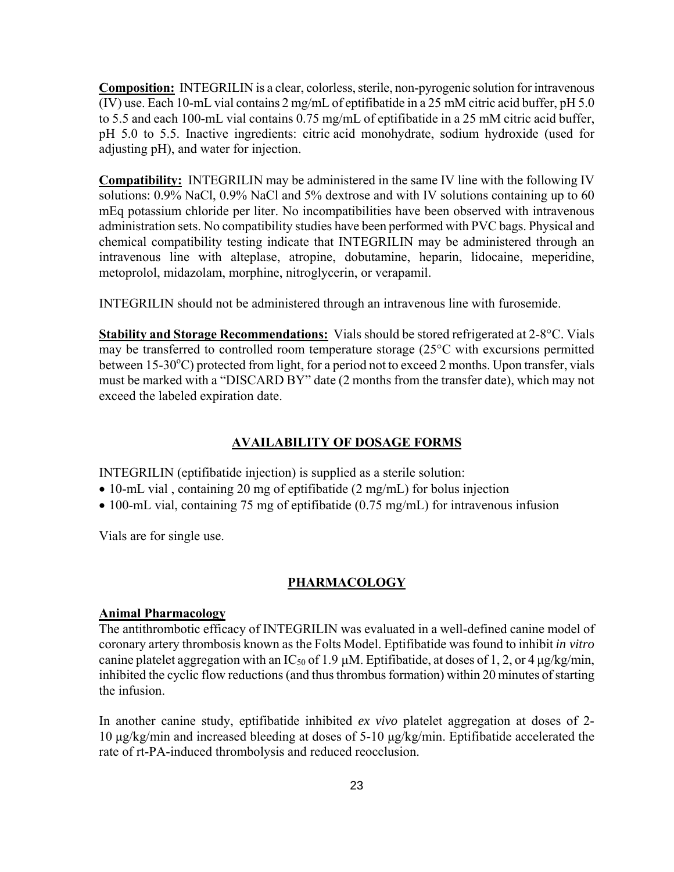**Composition:** INTEGRILIN is a clear, colorless, sterile, non-pyrogenic solution for intravenous (IV) use. Each 10-mL vial contains 2 mg/mL of eptifibatide in a 25 mM citric acid buffer, pH 5.0 to 5.5 and each 100-mL vial contains 0.75 mg/mL of eptifibatide in a 25 mM citric acid buffer, pH 5.0 to 5.5. Inactive ingredients: citric acid monohydrate, sodium hydroxide (used for adjusting pH), and water for injection.

**Compatibility:** INTEGRILIN may be administered in the same IV line with the following IV solutions: 0.9% NaCl, 0.9% NaCl and 5% dextrose and with IV solutions containing up to 60 mEq potassium chloride per liter. No incompatibilities have been observed with intravenous administration sets. No compatibility studies have been performed with PVC bags. Physical and chemical compatibility testing indicate that INTEGRILIN may be administered through an intravenous line with alteplase, atropine, dobutamine, heparin, lidocaine, meperidine, metoprolol, midazolam, morphine, nitroglycerin, or verapamil.

INTEGRILIN should not be administered through an intravenous line with furosemide.

**Stability and Storage Recommendations:** Vials should be stored refrigerated at 2-8°C. Vials may be transferred to controlled room temperature storage (25°C with excursions permitted between 15-30°C) protected from light, for a period not to exceed 2 months. Upon transfer, vials must be marked with a "DISCARD BY" date (2 months from the transfer date), which may not exceed the labeled expiration date.

### **AVAILABILITY OF DOSAGE FORMS**

INTEGRILIN (eptifibatide injection) is supplied as a sterile solution:

- 10-mL vial, containing 20 mg of eptifibatide (2 mg/mL) for bolus injection
- 100-mL vial, containing 75 mg of eptifibatide (0.75 mg/mL) for intravenous infusion

Vials are for single use.

#### **PHARMACOLOGY**

#### **Animal Pharmacology**

The antithrombotic efficacy of INTEGRILIN was evaluated in a well-defined canine model of coronary artery thrombosis known as the Folts Model. Eptifibatide was found to inhibit *in vitro* canine platelet aggregation with an IC<sub>50</sub> of 1.9 μM. Eptifibatide, at doses of 1, 2, or 4 μg/kg/min, inhibited the cyclic flow reductions (and thus thrombus formation) within 20 minutes of starting the infusion.

In another canine study, eptifibatide inhibited *ex vivo* platelet aggregation at doses of 2- 10 μg/kg/min and increased bleeding at doses of 5-10 μg/kg/min. Eptifibatide accelerated the rate of rt-PA-induced thrombolysis and reduced reocclusion.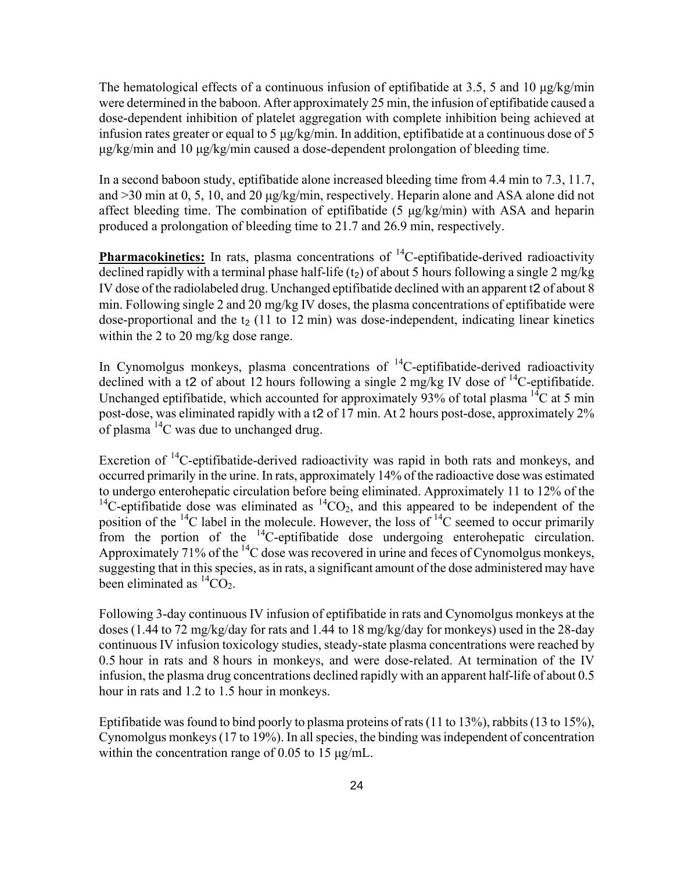The hematological effects of a continuous infusion of eptifibatide at 3.5, 5 and 10  $\mu$ g/kg/min were determined in the baboon. After approximately 25 min, the infusion of eptifibatide caused a dose-dependent inhibition of platelet aggregation with complete inhibition being achieved at infusion rates greater or equal to 5 μg/kg/min. In addition, eptifibatide at a continuous dose of 5 μg/kg/min and 10 μg/kg/min caused a dose-dependent prolongation of bleeding time.

In a second baboon study, eptifibatide alone increased bleeding time from 4.4 min to 7.3, 11.7, and  $>$ 30 min at 0, 5, 10, and 20 μg/kg/min, respectively. Heparin alone and ASA alone did not affect bleeding time. The combination of eptifibatide (5 μg/kg/min) with ASA and heparin produced a prolongation of bleeding time to 21.7 and 26.9 min, respectively.

**Pharmacokinetics:** In rats, plasma concentrations of <sup>14</sup>C-eptifibatide-derived radioactivity declined rapidly with a terminal phase half-life  $(t_2)$  of about 5 hours following a single 2 mg/kg IV dose of the radiolabeled drug. Unchanged eptifibatide declined with an apparent t2 of about 8 min. Following single 2 and 20 mg/kg IV doses, the plasma concentrations of eptifibatide were dose-proportional and the  $t_2$  (11 to 12 min) was dose-independent, indicating linear kinetics within the 2 to 20 mg/kg dose range.

In Cynomolgus monkeys, plasma concentrations of  $^{14}$ C-eptifibatide-derived radioactivity declined with a t2 of about 12 hours following a single 2 mg/kg IV dose of  $^{14}$ C-eptifibatide. Unchanged eptifibatide, which accounted for approximately 93% of total plasma  $^{14}C$  at 5 min post-dose, was eliminated rapidly with a t2 of 17 min. At 2 hours post-dose, approximately 2% of plasma  $^{14}$ C was due to unchanged drug.

Excretion of <sup>14</sup>C-eptifibatide-derived radioactivity was rapid in both rats and monkeys, and occurred primarily in the urine. In rats, approximately 14% of the radioactive dose was estimated to undergo enterohepatic circulation before being eliminated. Approximately 11 to 12% of the <sup>14</sup>C-eptifibatide dose was eliminated as  ${}^{14}CO_2$ , and this appeared to be independent of the position of the  $^{14}C$  label in the molecule. However, the loss of  $^{14}C$  seemed to occur primarily from the portion of the  $^{14}$ C-eptifibatide dose undergoing enterohepatic circulation. Approximately 71% of the  ${}^{14}C$  dose was recovered in urine and feces of Cynomolgus monkeys, suggesting that in this species, as in rats, a significant amount of the dose administered may have been eliminated as  ${}^{14}CO_2$ .

Following 3-day continuous IV infusion of eptifibatide in rats and Cynomolgus monkeys at the doses (1.44 to 72 mg/kg/day for rats and 1.44 to 18 mg/kg/day for monkeys) used in the 28-day continuous IV infusion toxicology studies, steady-state plasma concentrations were reached by 0.5 hour in rats and 8 hours in monkeys, and were dose-related. At termination of the IV infusion, the plasma drug concentrations declined rapidly with an apparent half-life of about 0.5 hour in rats and 1.2 to 1.5 hour in monkeys.

Eptifibatide was found to bind poorly to plasma proteins of rats (11 to 13%), rabbits (13 to 15%), Cynomolgus monkeys (17 to 19%). In all species, the binding was independent of concentration within the concentration range of 0.05 to 15 μg/mL.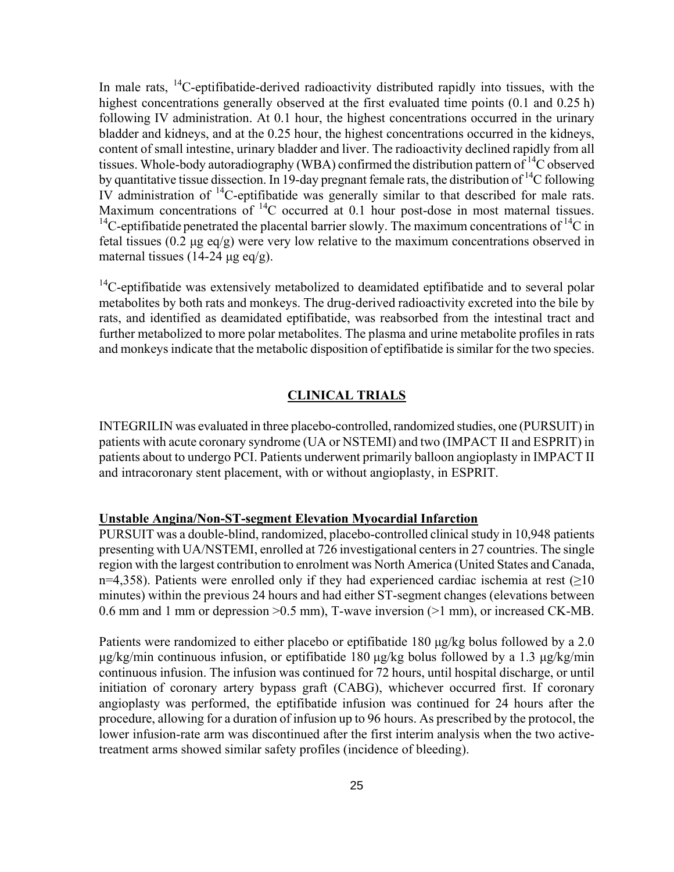In male rats,  $^{14}$ C-eptifibatide-derived radioactivity distributed rapidly into tissues, with the highest concentrations generally observed at the first evaluated time points  $(0.1 \text{ and } 0.25 \text{ h})$ following IV administration. At 0.1 hour, the highest concentrations occurred in the urinary bladder and kidneys, and at the 0.25 hour, the highest concentrations occurred in the kidneys, content of small intestine, urinary bladder and liver. The radioactivity declined rapidly from all tissues. Whole-body autoradiography (WBA) confirmed the distribution pattern of  $^{14}$ C observed by quantitative tissue dissection. In 19-day pregnant female rats, the distribution of <sup>14</sup>C following IV administration of 14C-eptifibatide was generally similar to that described for male rats. Maximum concentrations of <sup>14</sup>C occurred at 0.1 hour post-dose in most maternal tissues. <sup>14</sup>C-eptifibatide penetrated the placental barrier slowly. The maximum concentrations of <sup>14</sup>C in fetal tissues (0.2  $\mu$ g eq/g) were very low relative to the maximum concentrations observed in maternal tissues (14-24 μg eq/g).

 $14$ C-eptifibatide was extensively metabolized to deamidated eptifibatide and to several polar metabolites by both rats and monkeys. The drug-derived radioactivity excreted into the bile by rats, and identified as deamidated eptifibatide, was reabsorbed from the intestinal tract and further metabolized to more polar metabolites. The plasma and urine metabolite profiles in rats and monkeys indicate that the metabolic disposition of eptifibatide is similar for the two species.

#### **CLINICAL TRIALS**

INTEGRILIN was evaluated in three placebo-controlled, randomized studies, one (PURSUIT) in patients with acute coronary syndrome (UA or NSTEMI) and two (IMPACT II and ESPRIT) in patients about to undergo PCI. Patients underwent primarily balloon angioplasty in IMPACT II and intracoronary stent placement, with or without angioplasty, in ESPRIT.

#### **Unstable Angina/Non-ST-segment Elevation Myocardial Infarction**

PURSUIT was a double-blind, randomized, placebo-controlled clinical study in 10,948 patients presenting with UA/NSTEMI, enrolled at 726 investigational centers in 27 countries. The single region with the largest contribution to enrolment was North America (United States and Canada, n=4,358). Patients were enrolled only if they had experienced cardiac ischemia at rest ( $\geq$ 10 minutes) within the previous 24 hours and had either ST-segment changes (elevations between 0.6 mm and 1 mm or depression >0.5 mm), T-wave inversion (>1 mm), or increased CK-MB.

Patients were randomized to either placebo or eptifibatide 180 μg/kg bolus followed by a 2.0 μg/kg/min continuous infusion, or eptifibatide 180 μg/kg bolus followed by a 1.3 μg/kg/min continuous infusion. The infusion was continued for 72 hours, until hospital discharge, or until initiation of coronary artery bypass graft (CABG), whichever occurred first. If coronary angioplasty was performed, the eptifibatide infusion was continued for 24 hours after the procedure, allowing for a duration of infusion up to 96 hours. As prescribed by the protocol, the lower infusion-rate arm was discontinued after the first interim analysis when the two activetreatment arms showed similar safety profiles (incidence of bleeding).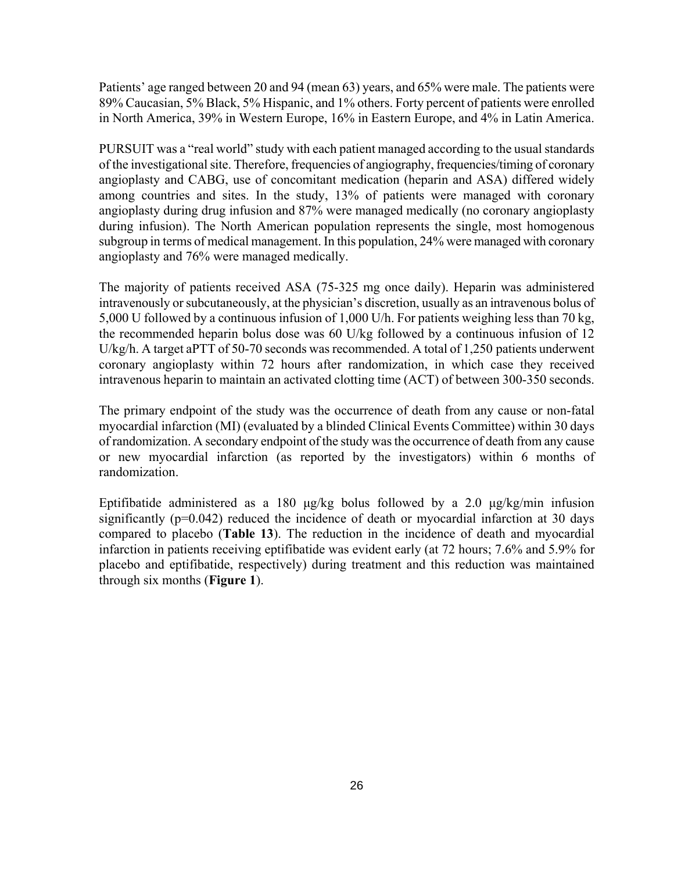Patients' age ranged between 20 and 94 (mean 63) years, and 65% were male. The patients were 89% Caucasian, 5% Black, 5% Hispanic, and 1% others. Forty percent of patients were enrolled in North America, 39% in Western Europe, 16% in Eastern Europe, and 4% in Latin America.

PURSUIT was a "real world" study with each patient managed according to the usual standards of the investigational site. Therefore, frequencies of angiography, frequencies/timing of coronary angioplasty and CABG, use of concomitant medication (heparin and ASA) differed widely among countries and sites. In the study, 13% of patients were managed with coronary angioplasty during drug infusion and 87% were managed medically (no coronary angioplasty during infusion). The North American population represents the single, most homogenous subgroup in terms of medical management. In this population, 24% were managed with coronary angioplasty and 76% were managed medically.

The majority of patients received ASA (75-325 mg once daily). Heparin was administered intravenously or subcutaneously, at the physician's discretion, usually as an intravenous bolus of 5,000 U followed by a continuous infusion of 1,000 U/h. For patients weighing less than 70 kg, the recommended heparin bolus dose was 60 U/kg followed by a continuous infusion of 12 U/kg/h. A target aPTT of 50-70 seconds was recommended. A total of 1,250 patients underwent coronary angioplasty within 72 hours after randomization, in which case they received intravenous heparin to maintain an activated clotting time (ACT) of between 300-350 seconds.

The primary endpoint of the study was the occurrence of death from any cause or non-fatal myocardial infarction (MI) (evaluated by a blinded Clinical Events Committee) within 30 days of randomization. A secondary endpoint of the study was the occurrence of death from any cause or new myocardial infarction (as reported by the investigators) within 6 months of randomization.

Eptifibatide administered as a 180 μg/kg bolus followed by a 2.0 μg/kg/min infusion significantly (p=0.042) reduced the incidence of death or myocardial infarction at 30 days compared to placebo (**Table 13**). The reduction in the incidence of death and myocardial infarction in patients receiving eptifibatide was evident early (at 72 hours; 7.6% and 5.9% for placebo and eptifibatide, respectively) during treatment and this reduction was maintained through six months (**Figure 1**).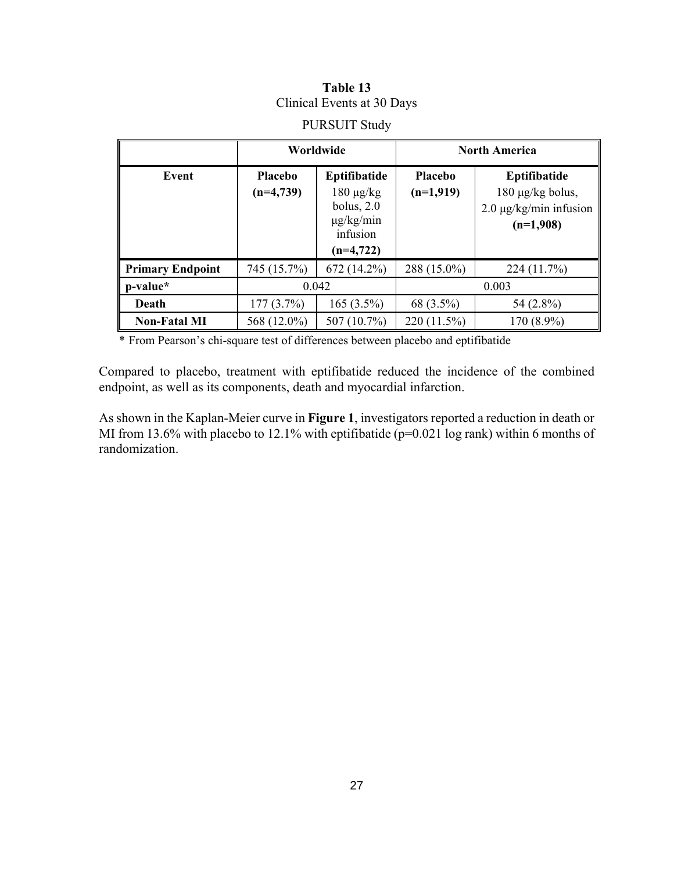# **Table 13**  Clinical Events at 30 Days

|                         | Worldwide                     |                                                                                             | <b>North America</b>          |                                                                                |  |
|-------------------------|-------------------------------|---------------------------------------------------------------------------------------------|-------------------------------|--------------------------------------------------------------------------------|--|
| Event                   | <b>Placebo</b><br>$(n=4,739)$ | Eptifibatide<br>$180 \mu g/kg$<br>bolus, $2.0$<br>$\mu$ g/kg/min<br>infusion<br>$(n=4,722)$ | <b>Placebo</b><br>$(n=1,919)$ | Eptifibatide<br>180 µg/kg bolus,<br>$2.0 \mu g/kg/min$ infusion<br>$(n=1,908)$ |  |
| <b>Primary Endpoint</b> | 745 (15.7%)                   | 672 (14.2%)                                                                                 | 288 (15.0%)                   | 224(11.7%)                                                                     |  |
| p-value*                | 0.042                         |                                                                                             | 0.003                         |                                                                                |  |
| Death                   | 177(3.7%)                     | $165(3.5\%)$                                                                                | 68 (3.5%)                     | 54 (2.8%)                                                                      |  |
| <b>Non-Fatal MI</b>     | 568 (12.0%)                   | 507 (10.7%)                                                                                 | 220 (11.5%)                   | 170 (8.9%)                                                                     |  |

# PURSUIT Study

\* From Pearson's chi-square test of differences between placebo and eptifibatide

Compared to placebo, treatment with eptifibatide reduced the incidence of the combined endpoint, as well as its components, death and myocardial infarction.

As shown in the Kaplan-Meier curve in **Figure 1**, investigators reported a reduction in death or MI from 13.6% with placebo to 12.1% with eptifibatide ( $p=0.021$  log rank) within 6 months of randomization.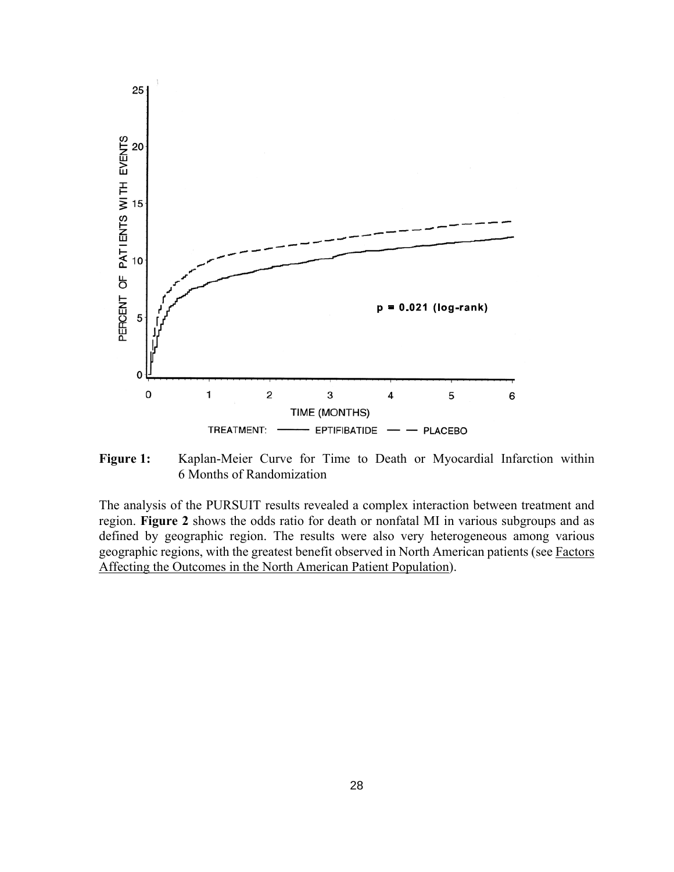

**Figure 1:** Kaplan-Meier Curve for Time to Death or Myocardial Infarction within 6 Months of Randomization

The analysis of the PURSUIT results revealed a complex interaction between treatment and region. **Figure 2** shows the odds ratio for death or nonfatal MI in various subgroups and as defined by geographic region. The results were also very heterogeneous among various geographic regions, with the greatest benefit observed in North American patients (see Factors Affecting the Outcomes in the North American Patient Population).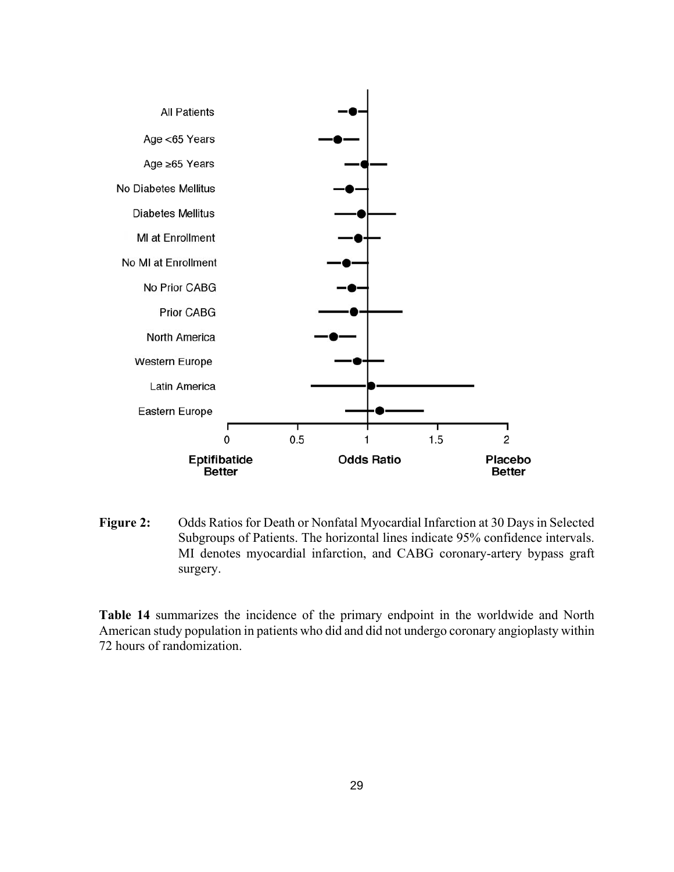

**Figure 2:** Odds Ratios for Death or Nonfatal Myocardial Infarction at 30 Days in Selected Subgroups of Patients. The horizontal lines indicate 95% confidence intervals. MI denotes myocardial infarction, and CABG coronary-artery bypass graft surgery.

**Table 14** summarizes the incidence of the primary endpoint in the worldwide and North American study population in patients who did and did not undergo coronary angioplasty within 72 hours of randomization.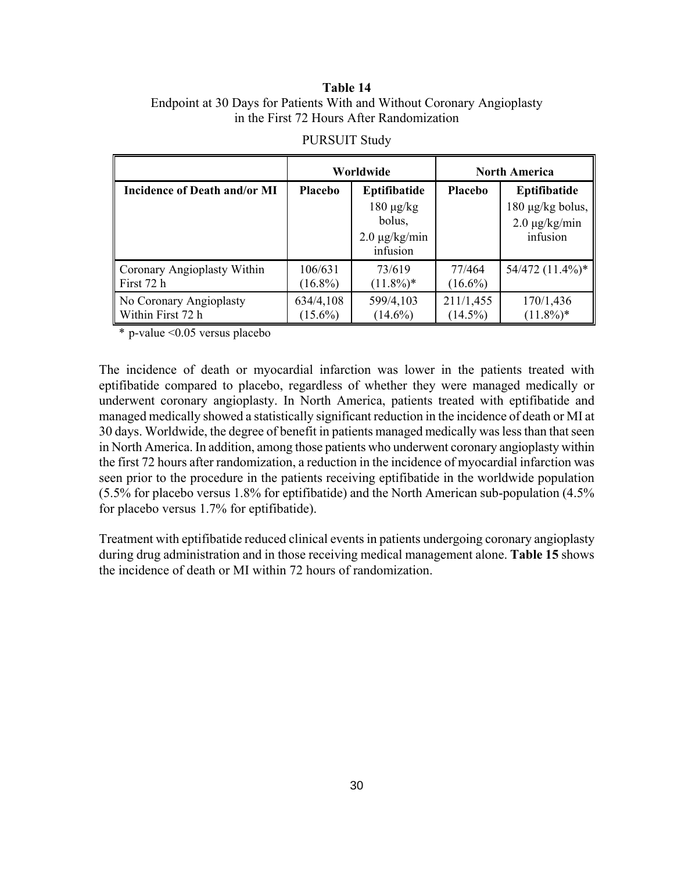### **Table 14**  Endpoint at 30 Days for Patients With and Without Coronary Angioplasty in the First 72 Hours After Randomization

|                              | Worldwide      |                                                                            | <b>North America</b> |                                                                         |
|------------------------------|----------------|----------------------------------------------------------------------------|----------------------|-------------------------------------------------------------------------|
| Incidence of Death and/or MI | <b>Placebo</b> | Eptifibatide<br>$180 \mu g/kg$<br>bolus,<br>$2.0 \mu g/kg/min$<br>infusion | <b>Placebo</b>       | Eptifibatide<br>$180 \mu g/kg$ bolus,<br>$2.0 \mu g/kg/min$<br>infusion |
| Coronary Angioplasty Within  | 106/631        | 73/619                                                                     | 77/464               | 54/472 (11.4%)*                                                         |
| First 72 h                   | $(16.8\%)$     | $(11.8\%)*$                                                                | $(16.6\%)$           |                                                                         |
| No Coronary Angioplasty      | 634/4,108      | 599/4,103                                                                  | 211/1,455            | 170/1,436                                                               |
| Within First 72 h            | $(15.6\%)$     | $(14.6\%)$                                                                 | $(14.5\%)$           | $(11.8\%)*$                                                             |

#### PURSUIT Study

\* p-value <0.05 versus placebo

The incidence of death or myocardial infarction was lower in the patients treated with eptifibatide compared to placebo, regardless of whether they were managed medically or underwent coronary angioplasty. In North America, patients treated with eptifibatide and managed medically showed a statistically significant reduction in the incidence of death or MI at 30 days. Worldwide, the degree of benefit in patients managed medically was less than that seen in North America. In addition, among those patients who underwent coronary angioplasty within the first 72 hours after randomization, a reduction in the incidence of myocardial infarction was seen prior to the procedure in the patients receiving eptifibatide in the worldwide population (5.5% for placebo versus 1.8% for eptifibatide) and the North American sub-population (4.5% for placebo versus 1.7% for eptifibatide).

Treatment with eptifibatide reduced clinical events in patients undergoing coronary angioplasty during drug administration and in those receiving medical management alone. **Table 15** shows the incidence of death or MI within 72 hours of randomization.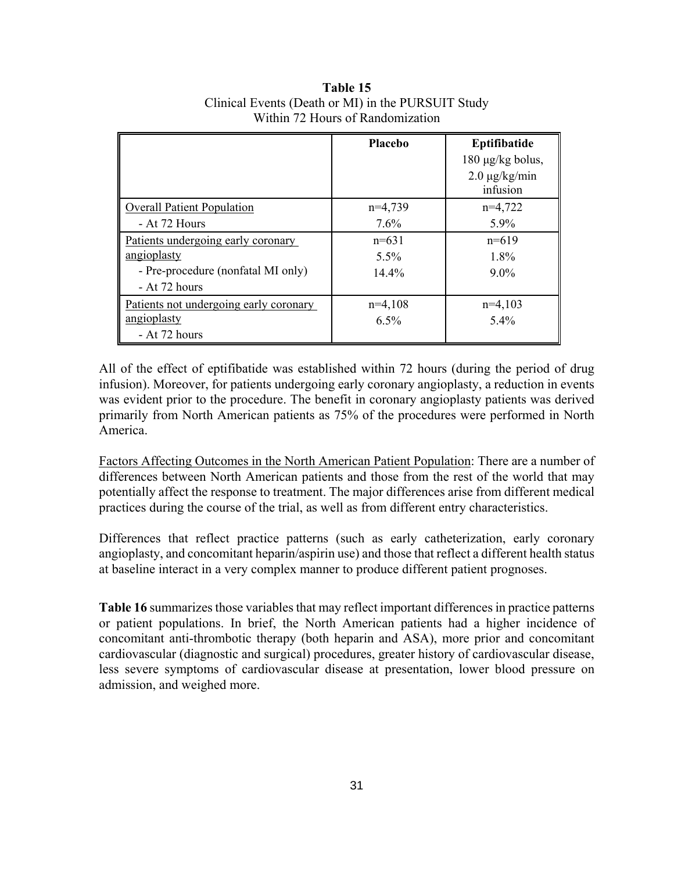|                                        | Placebo   | Eptifibatide                   |
|----------------------------------------|-----------|--------------------------------|
|                                        |           | $180 \mu g/kg$ bolus,          |
|                                        |           | $2.0 \mu g/kg/min$<br>infusion |
| <b>Overall Patient Population</b>      | $n=4,739$ | $n=4,722$                      |
| - At 72 Hours                          | 7.6%      | 5.9%                           |
| Patients undergoing early coronary     | $n=631$   | $n=619$                        |
| angioplasty                            | $5.5\%$   | 1.8%                           |
| - Pre-procedure (nonfatal MI only)     | 14.4%     | $9.0\%$                        |
| - At 72 hours                          |           |                                |
| Patients not undergoing early coronary | $n=4,108$ | $n=4,103$                      |
| angioplasty                            | $6.5\%$   | $5.4\%$                        |
| - At 72 hours                          |           |                                |

**Table 15** Clinical Events (Death or MI) in the PURSUIT Study Within 72 Hours of Randomization

All of the effect of eptifibatide was established within 72 hours (during the period of drug infusion). Moreover, for patients undergoing early coronary angioplasty, a reduction in events was evident prior to the procedure. The benefit in coronary angioplasty patients was derived primarily from North American patients as 75% of the procedures were performed in North America.

Factors Affecting Outcomes in the North American Patient Population: There are a number of differences between North American patients and those from the rest of the world that may potentially affect the response to treatment. The major differences arise from different medical practices during the course of the trial, as well as from different entry characteristics.

Differences that reflect practice patterns (such as early catheterization, early coronary angioplasty, and concomitant heparin/aspirin use) and those that reflect a different health status at baseline interact in a very complex manner to produce different patient prognoses.

**Table 16** summarizes those variables that may reflect important differences in practice patterns or patient populations. In brief, the North American patients had a higher incidence of concomitant anti-thrombotic therapy (both heparin and ASA), more prior and concomitant cardiovascular (diagnostic and surgical) procedures, greater history of cardiovascular disease, less severe symptoms of cardiovascular disease at presentation, lower blood pressure on admission, and weighed more.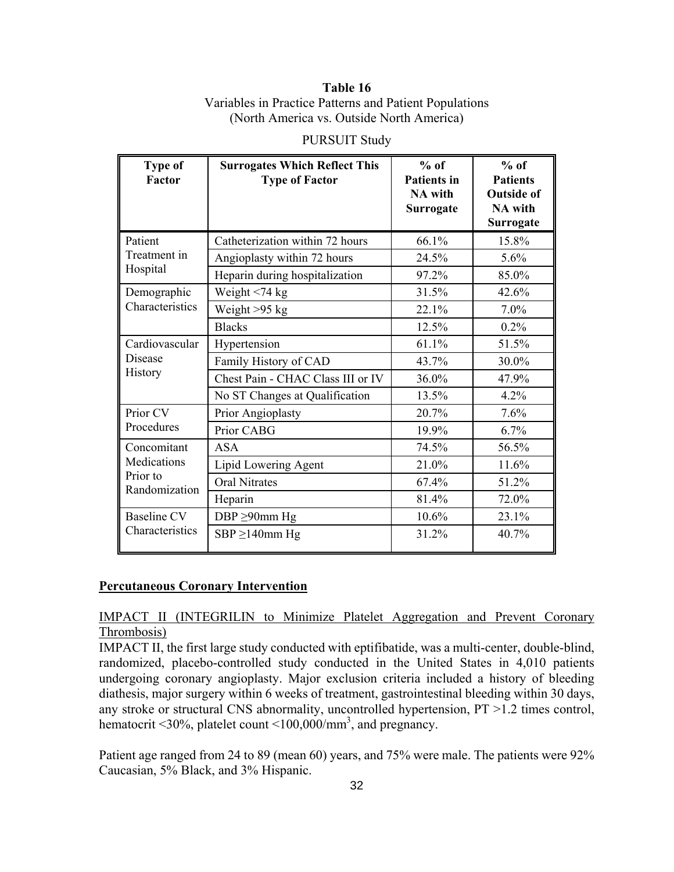### **Table 16** Variables in Practice Patterns and Patient Populations (North America vs. Outside North America)

| <b>Type of</b><br>Factor                 | <b>Surrogates Which Reflect This</b><br><b>Type of Factor</b> | $%$ of<br><b>Patients in</b><br><b>NA</b> with<br>Surrogate | $%$ of<br><b>Patients</b><br><b>Outside of</b><br><b>NA</b> with<br>Surrogate |
|------------------------------------------|---------------------------------------------------------------|-------------------------------------------------------------|-------------------------------------------------------------------------------|
| Patient                                  | Catheterization within 72 hours                               | 66.1%                                                       | 15.8%                                                                         |
| Treatment in                             | Angioplasty within 72 hours                                   | 24.5%                                                       | 5.6%                                                                          |
| Hospital                                 | Heparin during hospitalization                                | 97.2%                                                       | 85.0%                                                                         |
| Demographic                              | Weight $<$ 74 kg                                              | 31.5%                                                       | 42.6%                                                                         |
| Characteristics                          | Weight $>95$ kg                                               | 22.1%                                                       | 7.0%                                                                          |
|                                          | <b>Blacks</b>                                                 | 12.5%                                                       | 0.2%                                                                          |
| Cardiovascular                           | Hypertension                                                  | 61.1%                                                       | 51.5%                                                                         |
| Disease<br>History                       | Family History of CAD                                         | 43.7%                                                       | 30.0%                                                                         |
|                                          | Chest Pain - CHAC Class III or IV                             | 36.0%                                                       | 47.9%                                                                         |
|                                          | No ST Changes at Qualification                                | 13.5%                                                       | 4.2%                                                                          |
| Prior CV                                 | Prior Angioplasty                                             | 20.7%                                                       | 7.6%                                                                          |
| Procedures                               | Prior CABG                                                    | 19.9%                                                       | 6.7%                                                                          |
| Concomitant                              | <b>ASA</b>                                                    | 74.5%                                                       | 56.5%                                                                         |
| Medications<br>Prior to<br>Randomization | Lipid Lowering Agent                                          | 21.0%                                                       | 11.6%                                                                         |
|                                          | <b>Oral Nitrates</b>                                          | 67.4%                                                       | 51.2%                                                                         |
|                                          | Heparin                                                       | 81.4%                                                       | 72.0%                                                                         |
| <b>Baseline CV</b>                       | DBP $\geq$ 90mm Hg                                            | 10.6%                                                       | 23.1%                                                                         |
| Characteristics                          | $SBP \geq 140$ mm Hg                                          | 31.2%                                                       | 40.7%                                                                         |

PURSUIT Study

### **Percutaneous Coronary Intervention**

### IMPACT II (INTEGRILIN to Minimize Platelet Aggregation and Prevent Coronary Thrombosis)

IMPACT II, the first large study conducted with eptifibatide, was a multi-center, double-blind, randomized, placebo-controlled study conducted in the United States in 4,010 patients undergoing coronary angioplasty. Major exclusion criteria included a history of bleeding diathesis, major surgery within 6 weeks of treatment, gastrointestinal bleeding within 30 days, any stroke or structural CNS abnormality, uncontrolled hypertension, PT >1.2 times control, hematocrit <30%, platelet count <100,000/mm<sup>3</sup>, and pregnancy.

Patient age ranged from 24 to 89 (mean 60) years, and 75% were male. The patients were 92% Caucasian, 5% Black, and 3% Hispanic.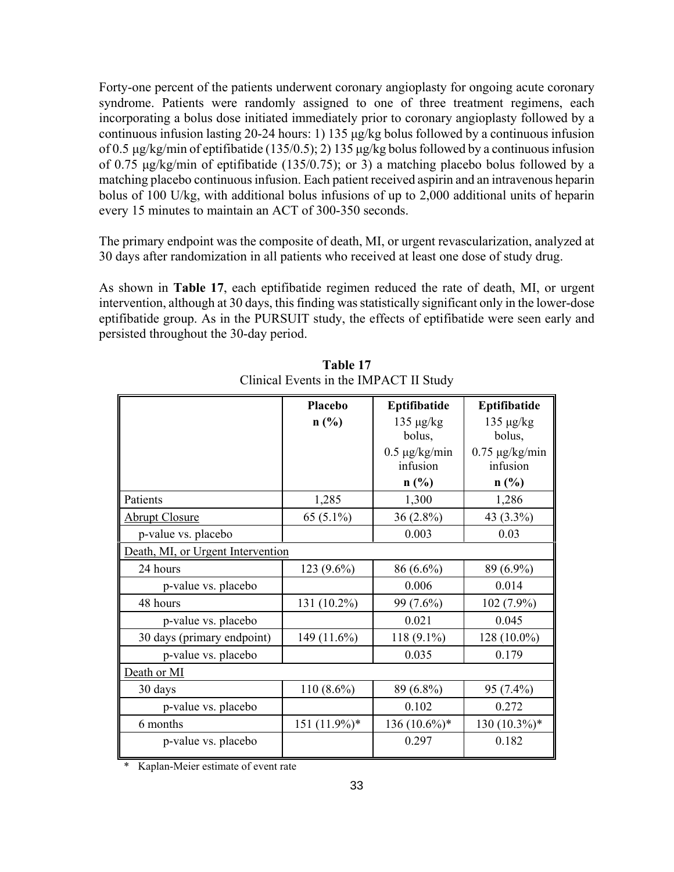Forty-one percent of the patients underwent coronary angioplasty for ongoing acute coronary syndrome. Patients were randomly assigned to one of three treatment regimens, each incorporating a bolus dose initiated immediately prior to coronary angioplasty followed by a continuous infusion lasting 20-24 hours: 1) 135 μg/kg bolus followed by a continuous infusion of 0.5 μg/kg/min of eptifibatide (135/0.5); 2) 135 μg/kg bolus followed by a continuous infusion of 0.75 μg/kg/min of eptifibatide (135/0.75); or 3) a matching placebo bolus followed by a matching placebo continuous infusion. Each patient received aspirin and an intravenous heparin bolus of 100 U/kg, with additional bolus infusions of up to 2,000 additional units of heparin every 15 minutes to maintain an ACT of 300-350 seconds.

The primary endpoint was the composite of death, MI, or urgent revascularization, analyzed at 30 days after randomization in all patients who received at least one dose of study drug.

As shown in **Table 17**, each eptifibatide regimen reduced the rate of death, MI, or urgent intervention, although at 30 days, this finding was statistically significant only in the lower-dose eptifibatide group. As in the PURSUIT study, the effects of eptifibatide were seen early and persisted throughout the 30-day period.

|                                   | Placebo      | Eptifibatide                   | Eptifibatide                    |
|-----------------------------------|--------------|--------------------------------|---------------------------------|
|                                   | n(%)         | $135 \mu g/kg$<br>bolus,       | $135 \mu g/kg$<br>bolus,        |
|                                   |              | $0.5 \mu g/kg/min$<br>infusion | $0.75 \mu g/kg/min$<br>infusion |
|                                   |              | $n$ (%)                        | $n$ (%)                         |
| Patients                          | 1,285        | 1,300                          | 1,286                           |
| <b>Abrupt Closure</b>             | 65 $(5.1\%)$ | $36(2.8\%)$                    | 43 (3.3%)                       |
| p-value vs. placebo               |              | 0.003                          | 0.03                            |
| Death, MI, or Urgent Intervention |              |                                |                                 |
| 24 hours                          | 123 (9.6%)   | 86 (6.6%)                      | 89 (6.9%)                       |
| p-value vs. placebo               |              | 0.006                          | 0.014                           |
| 48 hours                          | 131 (10.2%)  | 99 (7.6%)                      | 102 (7.9%)                      |
| p-value vs. placebo               |              | 0.021                          | 0.045                           |
| 30 days (primary endpoint)        | 149 (11.6%)  | $118(9.1\%)$                   | 128 (10.0%)                     |
| p-value vs. placebo               |              | 0.035                          | 0.179                           |
| Death or MI                       |              |                                |                                 |
| 30 days                           | $110(8.6\%)$ | 89 (6.8%)                      | 95 (7.4%)                       |
| p-value vs. placebo               |              | 0.102                          | 0.272                           |
| 6 months                          | 151 (11.9%)* | $136(10.6\%)*$                 | $130(10.3\%)*$                  |
| p-value vs. placebo               |              | 0.297                          | 0.182                           |

**Table 17** Clinical Events in the IMPACT II Study

\* Kaplan-Meier estimate of event rate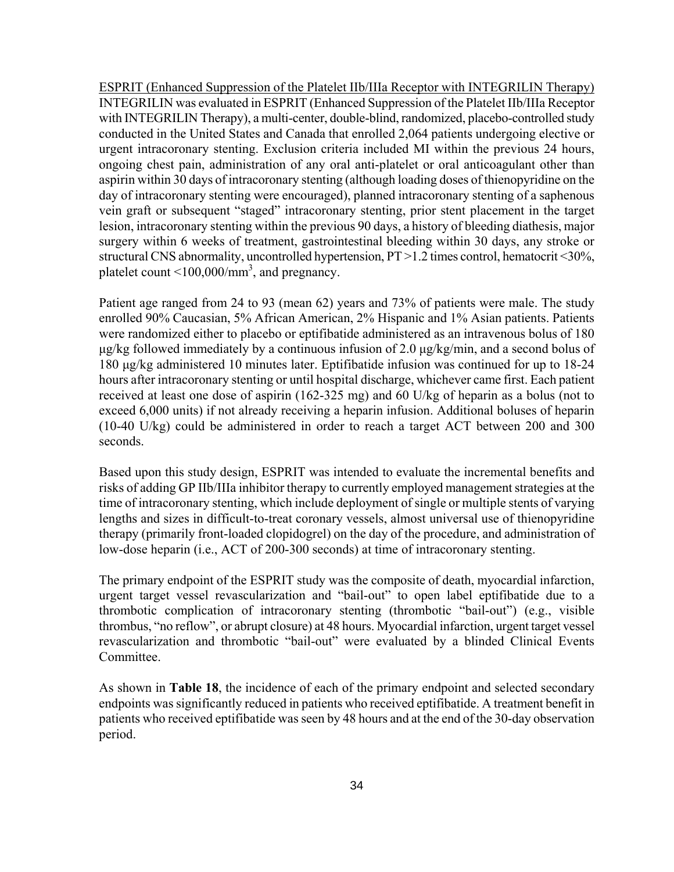ESPRIT (Enhanced Suppression of the Platelet IIb/IIIa Receptor with INTEGRILIN Therapy) INTEGRILIN was evaluated in ESPRIT (Enhanced Suppression of the Platelet IIb/IIIa Receptor with INTEGRILIN Therapy), a multi-center, double-blind, randomized, placebo-controlled study conducted in the United States and Canada that enrolled 2,064 patients undergoing elective or urgent intracoronary stenting. Exclusion criteria included MI within the previous 24 hours, ongoing chest pain, administration of any oral anti-platelet or oral anticoagulant other than aspirin within 30 days of intracoronary stenting (although loading doses of thienopyridine on the day of intracoronary stenting were encouraged), planned intracoronary stenting of a saphenous vein graft or subsequent "staged" intracoronary stenting, prior stent placement in the target lesion, intracoronary stenting within the previous 90 days, a history of bleeding diathesis, major surgery within 6 weeks of treatment, gastrointestinal bleeding within 30 days, any stroke or structural CNS abnormality, uncontrolled hypertension, PT >1.2 times control, hematocrit <30%, platelet count <100,000/mm<sup>3</sup>, and pregnancy.

Patient age ranged from 24 to 93 (mean 62) years and 73% of patients were male. The study enrolled 90% Caucasian, 5% African American, 2% Hispanic and 1% Asian patients. Patients were randomized either to placebo or eptifibatide administered as an intravenous bolus of 180 μg/kg followed immediately by a continuous infusion of 2.0 μg/kg/min, and a second bolus of 180 μg/kg administered 10 minutes later. Eptifibatide infusion was continued for up to 18-24 hours after intracoronary stenting or until hospital discharge, whichever came first. Each patient received at least one dose of aspirin (162-325 mg) and 60 U/kg of heparin as a bolus (not to exceed 6,000 units) if not already receiving a heparin infusion. Additional boluses of heparin (10-40 U/kg) could be administered in order to reach a target ACT between 200 and 300 seconds.

Based upon this study design, ESPRIT was intended to evaluate the incremental benefits and risks of adding GP IIb/IIIa inhibitor therapy to currently employed management strategies at the time of intracoronary stenting, which include deployment of single or multiple stents of varying lengths and sizes in difficult-to-treat coronary vessels, almost universal use of thienopyridine therapy (primarily front-loaded clopidogrel) on the day of the procedure, and administration of low-dose heparin (i.e., ACT of 200-300 seconds) at time of intracoronary stenting.

The primary endpoint of the ESPRIT study was the composite of death, myocardial infarction, urgent target vessel revascularization and "bail-out" to open label eptifibatide due to a thrombotic complication of intracoronary stenting (thrombotic "bail-out") (e.g., visible thrombus, "no reflow", or abrupt closure) at 48 hours. Myocardial infarction, urgent target vessel revascularization and thrombotic "bail-out" were evaluated by a blinded Clinical Events Committee.

As shown in **Table 18**, the incidence of each of the primary endpoint and selected secondary endpoints was significantly reduced in patients who received eptifibatide. A treatment benefit in patients who received eptifibatide was seen by 48 hours and at the end of the 30-day observation period.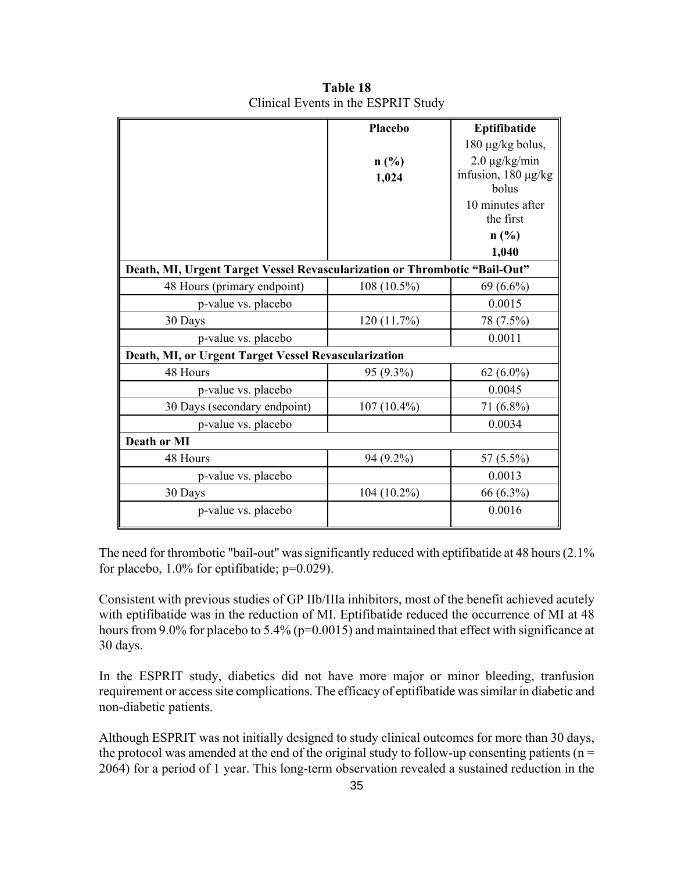|                                                                            | Placebo       | Eptifibatide             |
|----------------------------------------------------------------------------|---------------|--------------------------|
|                                                                            |               | $180 \mu g/kg$ bolus,    |
|                                                                            | n(%)          | $2.0 \mu g/kg/min$       |
|                                                                            | 1,024         | infusion, $180 \mu g/kg$ |
|                                                                            |               | bolus                    |
|                                                                            |               | 10 minutes after         |
|                                                                            |               | the first                |
|                                                                            |               | n(%)                     |
|                                                                            |               | 1,040                    |
| Death, MI, Urgent Target Vessel Revascularization or Thrombotic "Bail-Out" |               |                          |
| 48 Hours (primary endpoint)                                                | $108(10.5\%)$ | $69(6.6\%)$              |
| p-value vs. placebo                                                        |               | 0.0015                   |
| 30 Days                                                                    | 120(11.7%)    | 78 (7.5%)                |
| p-value vs. placebo                                                        |               | 0.0011                   |
| Death, MI, or Urgent Target Vessel Revascularization                       |               |                          |
| 48 Hours                                                                   | 95 (9.3%)     | 62 $(6.0\%)$             |
| p-value vs. placebo                                                        |               | 0.0045                   |
| 30 Days (secondary endpoint)                                               | $107(10.4\%)$ | 71 (6.8%)                |
| p-value vs. placebo                                                        |               | 0.0034                   |
| Death or MI                                                                |               |                          |
| 48 Hours                                                                   | 94 (9.2%)     | 57 (5.5%)                |
| p-value vs. placebo                                                        |               | 0.0013                   |
| 30 Days                                                                    | $104(10.2\%)$ | 66 (6.3%)                |
| p-value vs. placebo                                                        |               | 0.0016                   |

**Table 18**  Clinical Events in the ESPRIT Study

The need for thrombotic "bail-out" was significantly reduced with eptifibatide at 48 hours (2.1% for placebo, 1.0% for eptifibatide; p=0.029).

Consistent with previous studies of GP IIb/IIIa inhibitors, most of the benefit achieved acutely with eptifibatide was in the reduction of MI. Eptifibatide reduced the occurrence of MI at 48 hours from 9.0% for placebo to 5.4% (p=0.0015) and maintained that effect with significance at 30 days.

In the ESPRIT study, diabetics did not have more major or minor bleeding, tranfusion requirement or access site complications. The efficacy of eptifibatide was similar in diabetic and non-diabetic patients.

Although ESPRIT was not initially designed to study clinical outcomes for more than 30 days, the protocol was amended at the end of the original study to follow-up consenting patients ( $n =$ 2064) for a period of 1 year. This long-term observation revealed a sustained reduction in the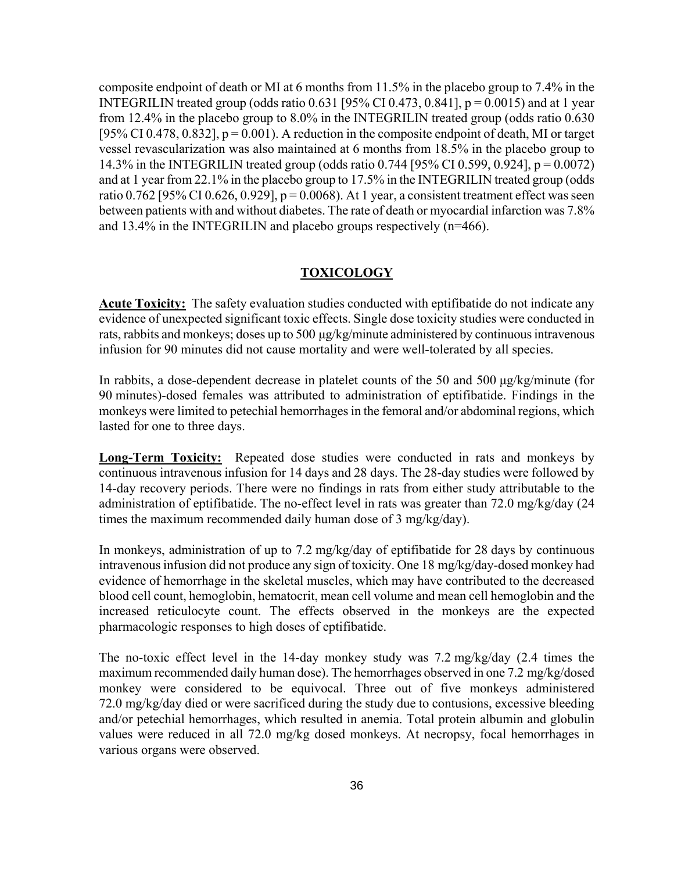composite endpoint of death or MI at 6 months from 11.5% in the placebo group to 7.4% in the INTEGRILIN treated group (odds ratio 0.631 [95% CI 0.473, 0.841],  $p = 0.0015$ ) and at 1 year from 12.4% in the placebo group to 8.0% in the INTEGRILIN treated group (odds ratio 0.630 [95% CI 0.478, 0.832],  $p = 0.001$ ). A reduction in the composite endpoint of death, MI or target vessel revascularization was also maintained at 6 months from 18.5% in the placebo group to 14.3% in the INTEGRILIN treated group (odds ratio 0.744 [95% CI 0.599, 0.924], p = 0.0072) and at 1 year from 22.1% in the placebo group to 17.5% in the INTEGRILIN treated group (odds ratio 0.762 [95% CI 0.626, 0.929],  $p = 0.0068$ ). At 1 year, a consistent treatment effect was seen between patients with and without diabetes. The rate of death or myocardial infarction was 7.8% and 13.4% in the INTEGRILIN and placebo groups respectively (n=466).

#### **TOXICOLOGY**

**Acute Toxicity:** The safety evaluation studies conducted with eptifibatide do not indicate any evidence of unexpected significant toxic effects. Single dose toxicity studies were conducted in rats, rabbits and monkeys; doses up to 500 μg/kg/minute administered by continuous intravenous infusion for 90 minutes did not cause mortality and were well-tolerated by all species.

In rabbits, a dose-dependent decrease in platelet counts of the 50 and 500 μg/kg/minute (for 90 minutes)-dosed females was attributed to administration of eptifibatide. Findings in the monkeys were limited to petechial hemorrhages in the femoral and/or abdominal regions, which lasted for one to three days.

**Long-Term Toxicity:** Repeated dose studies were conducted in rats and monkeys by continuous intravenous infusion for 14 days and 28 days. The 28-day studies were followed by 14-day recovery periods. There were no findings in rats from either study attributable to the administration of eptifibatide. The no-effect level in rats was greater than 72.0 mg/kg/day (24 times the maximum recommended daily human dose of 3 mg/kg/day).

In monkeys, administration of up to 7.2 mg/kg/day of eptifibatide for 28 days by continuous intravenous infusion did not produce any sign of toxicity. One 18 mg/kg/day-dosed monkey had evidence of hemorrhage in the skeletal muscles, which may have contributed to the decreased blood cell count, hemoglobin, hematocrit, mean cell volume and mean cell hemoglobin and the increased reticulocyte count. The effects observed in the monkeys are the expected pharmacologic responses to high doses of eptifibatide.

The no-toxic effect level in the 14-day monkey study was 7.2 mg/kg/day (2.4 times the maximum recommended daily human dose). The hemorrhages observed in one 7.2 mg/kg/dosed monkey were considered to be equivocal. Three out of five monkeys administered 72.0 mg/kg/day died or were sacrificed during the study due to contusions, excessive bleeding and/or petechial hemorrhages, which resulted in anemia. Total protein albumin and globulin values were reduced in all 72.0 mg/kg dosed monkeys. At necropsy, focal hemorrhages in various organs were observed.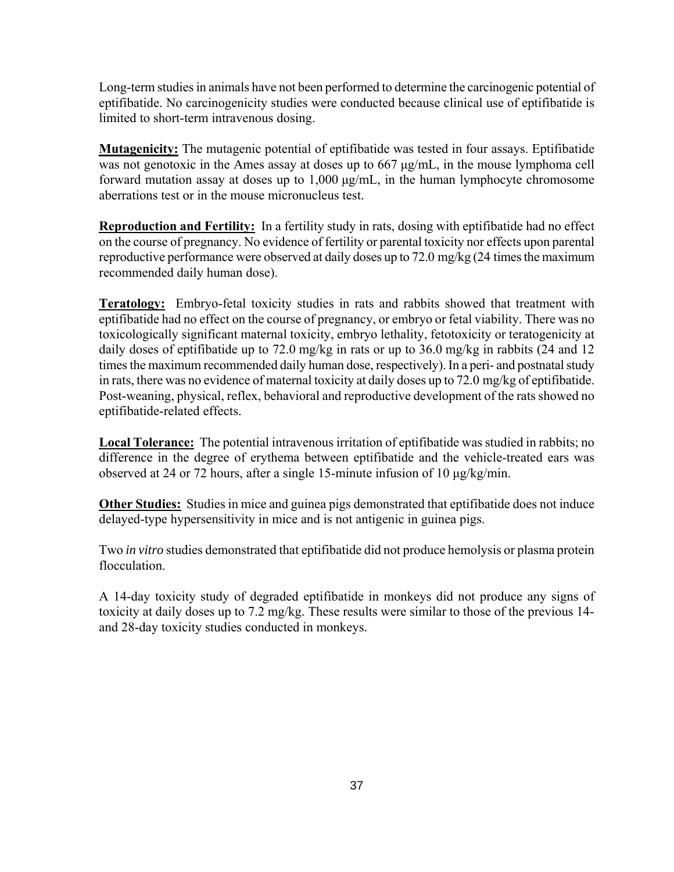Long-term studies in animals have not been performed to determine the carcinogenic potential of eptifibatide. No carcinogenicity studies were conducted because clinical use of eptifibatide is limited to short-term intravenous dosing.

**Mutagenicity:** The mutagenic potential of eptifibatide was tested in four assays. Eptifibatide was not genotoxic in the Ames assay at doses up to 667 μg/mL, in the mouse lymphoma cell forward mutation assay at doses up to 1,000 μg/mL, in the human lymphocyte chromosome aberrations test or in the mouse micronucleus test.

**Reproduction and Fertility:** In a fertility study in rats, dosing with eptifibatide had no effect on the course of pregnancy. No evidence of fertility or parental toxicity nor effects upon parental reproductive performance were observed at daily doses up to 72.0 mg/kg (24 times the maximum recommended daily human dose).

**Teratology:** Embryo-fetal toxicity studies in rats and rabbits showed that treatment with eptifibatide had no effect on the course of pregnancy, or embryo or fetal viability. There was no toxicologically significant maternal toxicity, embryo lethality, fetotoxicity or teratogenicity at daily doses of eptifibatide up to 72.0 mg/kg in rats or up to 36.0 mg/kg in rabbits (24 and 12) times the maximum recommended daily human dose, respectively). In a peri- and postnatal study in rats, there was no evidence of maternal toxicity at daily doses up to 72.0 mg/kg of eptifibatide. Post-weaning, physical, reflex, behavioral and reproductive development of the rats showed no eptifibatide-related effects.

**Local Tolerance:** The potential intravenous irritation of eptifibatide was studied in rabbits; no difference in the degree of erythema between eptifibatide and the vehicle-treated ears was observed at 24 or 72 hours, after a single 15-minute infusion of 10 μg/kg/min.

**Other Studies:** Studies in mice and guinea pigs demonstrated that eptifibatide does not induce delayed-type hypersensitivity in mice and is not antigenic in guinea pigs.

Two *in vitro* studies demonstrated that eptifibatide did not produce hemolysis or plasma protein flocculation.

A 14-day toxicity study of degraded eptifibatide in monkeys did not produce any signs of toxicity at daily doses up to 7.2 mg/kg. These results were similar to those of the previous 14 and 28-day toxicity studies conducted in monkeys.